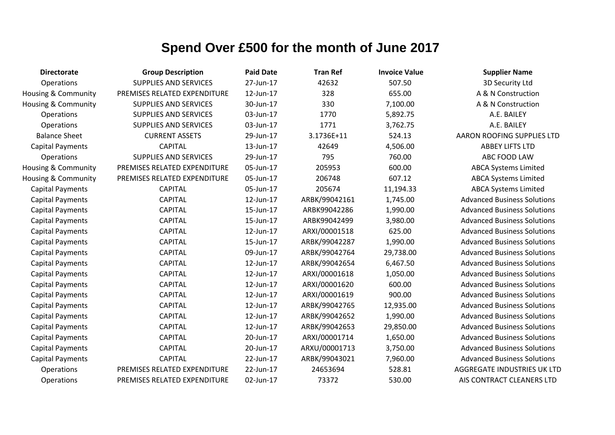| <b>Directorate</b>             | <b>Group Description</b>     | <b>Paid Date</b> | <b>Tran Ref</b> | <b>Invoice Value</b> | <b>Supplier Name</b>               |
|--------------------------------|------------------------------|------------------|-----------------|----------------------|------------------------------------|
| Operations                     | <b>SUPPLIES AND SERVICES</b> | 27-Jun-17        | 42632           | 507.50               | 3D Security Ltd                    |
| <b>Housing &amp; Community</b> | PREMISES RELATED EXPENDITURE | 12-Jun-17        | 328             | 655.00               | A & N Construction                 |
| Housing & Community            | <b>SUPPLIES AND SERVICES</b> | 30-Jun-17        | 330             | 7,100.00             | A & N Construction                 |
| Operations                     | <b>SUPPLIES AND SERVICES</b> | 03-Jun-17        | 1770            | 5,892.75             | A.E. BAILEY                        |
| Operations                     | <b>SUPPLIES AND SERVICES</b> | 03-Jun-17        | 1771            | 3,762.75             | A.E. BAILEY                        |
| <b>Balance Sheet</b>           | <b>CURRENT ASSETS</b>        | 29-Jun-17        | 3.1736E+11      | 524.13               | <b>AARON ROOFING SUPPLIES LTD</b>  |
| <b>Capital Payments</b>        | <b>CAPITAL</b>               | 13-Jun-17        | 42649           | 4,506.00             | <b>ABBEY LIFTS LTD</b>             |
| Operations                     | <b>SUPPLIES AND SERVICES</b> | 29-Jun-17        | 795             | 760.00               | ABC FOOD LAW                       |
| Housing & Community            | PREMISES RELATED EXPENDITURE | 05-Jun-17        | 205953          | 600.00               | <b>ABCA Systems Limited</b>        |
| <b>Housing &amp; Community</b> | PREMISES RELATED EXPENDITURE | 05-Jun-17        | 206748          | 607.12               | <b>ABCA Systems Limited</b>        |
| <b>Capital Payments</b>        | <b>CAPITAL</b>               | 05-Jun-17        | 205674          | 11,194.33            | <b>ABCA Systems Limited</b>        |
| <b>Capital Payments</b>        | <b>CAPITAL</b>               | 12-Jun-17        | ARBK/99042161   | 1,745.00             | <b>Advanced Business Solutions</b> |
| <b>Capital Payments</b>        | <b>CAPITAL</b>               | 15-Jun-17        | ARBK99042286    | 1,990.00             | <b>Advanced Business Solutions</b> |
| <b>Capital Payments</b>        | <b>CAPITAL</b>               | 15-Jun-17        | ARBK99042499    | 3,980.00             | <b>Advanced Business Solutions</b> |
| <b>Capital Payments</b>        | <b>CAPITAL</b>               | 12-Jun-17        | ARXI/00001518   | 625.00               | <b>Advanced Business Solutions</b> |
| <b>Capital Payments</b>        | <b>CAPITAL</b>               | 15-Jun-17        | ARBK/99042287   | 1,990.00             | <b>Advanced Business Solutions</b> |
| <b>Capital Payments</b>        | <b>CAPITAL</b>               | 09-Jun-17        | ARBK/99042764   | 29,738.00            | <b>Advanced Business Solutions</b> |
| <b>Capital Payments</b>        | <b>CAPITAL</b>               | 12-Jun-17        | ARBK/99042654   | 6,467.50             | <b>Advanced Business Solutions</b> |
| <b>Capital Payments</b>        | <b>CAPITAL</b>               | 12-Jun-17        | ARXI/00001618   | 1,050.00             | <b>Advanced Business Solutions</b> |
| <b>Capital Payments</b>        | <b>CAPITAL</b>               | 12-Jun-17        | ARXI/00001620   | 600.00               | <b>Advanced Business Solutions</b> |
| <b>Capital Payments</b>        | <b>CAPITAL</b>               | 12-Jun-17        | ARXI/00001619   | 900.00               | <b>Advanced Business Solutions</b> |
| <b>Capital Payments</b>        | <b>CAPITAL</b>               | 12-Jun-17        | ARBK/99042765   | 12,935.00            | <b>Advanced Business Solutions</b> |
| <b>Capital Payments</b>        | <b>CAPITAL</b>               | 12-Jun-17        | ARBK/99042652   | 1,990.00             | <b>Advanced Business Solutions</b> |
| <b>Capital Payments</b>        | <b>CAPITAL</b>               | 12-Jun-17        | ARBK/99042653   | 29,850.00            | <b>Advanced Business Solutions</b> |
| <b>Capital Payments</b>        | <b>CAPITAL</b>               | 20-Jun-17        | ARXI/00001714   | 1,650.00             | <b>Advanced Business Solutions</b> |
| <b>Capital Payments</b>        | <b>CAPITAL</b>               | 20-Jun-17        | ARXU/00001713   | 3,750.00             | <b>Advanced Business Solutions</b> |
| <b>Capital Payments</b>        | <b>CAPITAL</b>               | 22-Jun-17        | ARBK/99043021   | 7,960.00             | <b>Advanced Business Solutions</b> |
| Operations                     | PREMISES RELATED EXPENDITURE | 22-Jun-17        | 24653694        | 528.81               | <b>AGGREGATE INDUSTRIES UK LTD</b> |
| Operations                     | PREMISES RELATED EXPENDITURE | 02-Jun-17        | 73372           | 530.00               | AIS CONTRACT CLEANERS LTD          |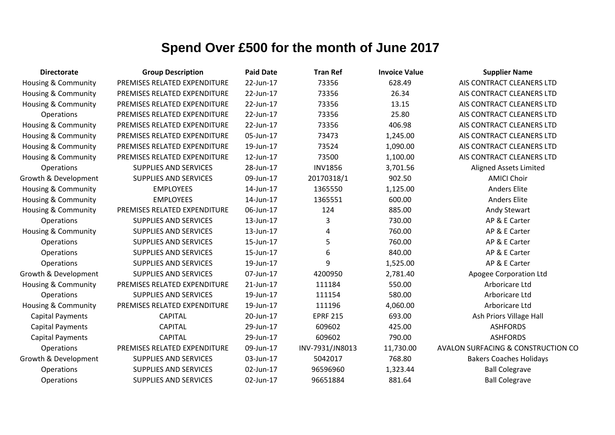| <b>Directorate</b>             | <b>Group Description</b>     | <b>Paid Date</b> | <b>Tran Ref</b> | <b>Invoice Value</b> | <b>Supplier Name</b>               |
|--------------------------------|------------------------------|------------------|-----------------|----------------------|------------------------------------|
| Housing & Community            | PREMISES RELATED EXPENDITURE | 22-Jun-17        | 73356           | 628.49               | AIS CONTRACT CLEANERS LTD          |
| <b>Housing &amp; Community</b> | PREMISES RELATED EXPENDITURE | 22-Jun-17        | 73356           | 26.34                | AIS CONTRACT CLEANERS LTD          |
| <b>Housing &amp; Community</b> | PREMISES RELATED EXPENDITURE | 22-Jun-17        | 73356           | 13.15                | AIS CONTRACT CLEANERS LTD          |
| Operations                     | PREMISES RELATED EXPENDITURE | 22-Jun-17        | 73356           | 25.80                | AIS CONTRACT CLEANERS LTD          |
| Housing & Community            | PREMISES RELATED EXPENDITURE | 22-Jun-17        | 73356           | 406.98               | AIS CONTRACT CLEANERS LTD          |
| <b>Housing &amp; Community</b> | PREMISES RELATED EXPENDITURE | 05-Jun-17        | 73473           | 1,245.00             | AIS CONTRACT CLEANERS LTD          |
| Housing & Community            | PREMISES RELATED EXPENDITURE | 19-Jun-17        | 73524           | 1,090.00             | AIS CONTRACT CLEANERS LTD          |
| <b>Housing &amp; Community</b> | PREMISES RELATED EXPENDITURE | 12-Jun-17        | 73500           | 1,100.00             | AIS CONTRACT CLEANERS LTD          |
| Operations                     | <b>SUPPLIES AND SERVICES</b> | 28-Jun-17        | <b>INV1856</b>  | 3,701.56             | <b>Aligned Assets Limited</b>      |
| Growth & Development           | <b>SUPPLIES AND SERVICES</b> | 09-Jun-17        | 20170318/1      | 902.50               | <b>AMICI Choir</b>                 |
| Housing & Community            | <b>EMPLOYEES</b>             | 14-Jun-17        | 1365550         | 1,125.00             | <b>Anders Elite</b>                |
| <b>Housing &amp; Community</b> | <b>EMPLOYEES</b>             | 14-Jun-17        | 1365551         | 600.00               | <b>Anders Elite</b>                |
| <b>Housing &amp; Community</b> | PREMISES RELATED EXPENDITURE | 06-Jun-17        | 124             | 885.00               | Andy Stewart                       |
| Operations                     | SUPPLIES AND SERVICES        | 13-Jun-17        | 3               | 730.00               | AP & E Carter                      |
| <b>Housing &amp; Community</b> | <b>SUPPLIES AND SERVICES</b> | 13-Jun-17        | 4               | 760.00               | AP & E Carter                      |
| Operations                     | <b>SUPPLIES AND SERVICES</b> | 15-Jun-17        | 5               | 760.00               | AP & E Carter                      |
| Operations                     | <b>SUPPLIES AND SERVICES</b> | 15-Jun-17        | 6               | 840.00               | AP & E Carter                      |
| Operations                     | <b>SUPPLIES AND SERVICES</b> | 19-Jun-17        | 9               | 1,525.00             | AP & E Carter                      |
| Growth & Development           | <b>SUPPLIES AND SERVICES</b> | 07-Jun-17        | 4200950         | 2,781.40             | Apogee Corporation Ltd             |
| <b>Housing &amp; Community</b> | PREMISES RELATED EXPENDITURE | 21-Jun-17        | 111184          | 550.00               | Arboricare Ltd                     |
| Operations                     | <b>SUPPLIES AND SERVICES</b> | 19-Jun-17        | 111154          | 580.00               | Arboricare Ltd                     |
| Housing & Community            | PREMISES RELATED EXPENDITURE | 19-Jun-17        | 111196          | 4,060.00             | Arboricare Ltd                     |
| <b>Capital Payments</b>        | <b>CAPITAL</b>               | 20-Jun-17        | <b>EPRF 215</b> | 693.00               | Ash Priors Village Hall            |
| <b>Capital Payments</b>        | <b>CAPITAL</b>               | 29-Jun-17        | 609602          | 425.00               | <b>ASHFORDS</b>                    |
| <b>Capital Payments</b>        | <b>CAPITAL</b>               | 29-Jun-17        | 609602          | 790.00               | <b>ASHFORDS</b>                    |
| Operations                     | PREMISES RELATED EXPENDITURE | 09-Jun-17        | INV-7931/JN8013 | 11,730.00            | AVALON SURFACING & CONSTRUCTION CO |
| Growth & Development           | <b>SUPPLIES AND SERVICES</b> | 03-Jun-17        | 5042017         | 768.80               | <b>Bakers Coaches Holidays</b>     |
| Operations                     | <b>SUPPLIES AND SERVICES</b> | 02-Jun-17        | 96596960        | 1,323.44             | <b>Ball Colegrave</b>              |
| Operations                     | <b>SUPPLIES AND SERVICES</b> | 02-Jun-17        | 96651884        | 881.64               | <b>Ball Colegrave</b>              |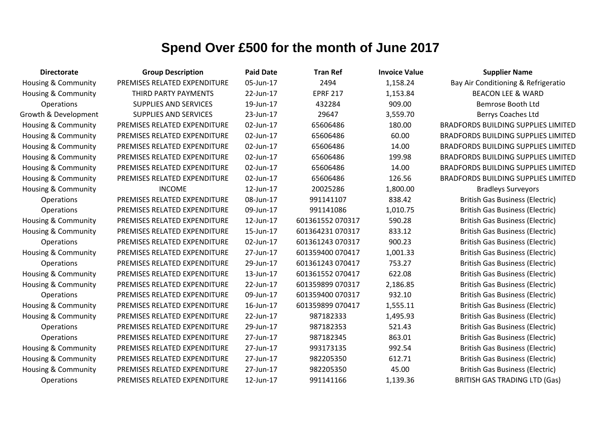| <b>Directorate</b>             | <b>Group Description</b>     | <b>Paid Date</b> | <b>Tran Ref</b>  | <b>Invoice Value</b> | <b>Supplier Name</b>                       |
|--------------------------------|------------------------------|------------------|------------------|----------------------|--------------------------------------------|
| Housing & Community            | PREMISES RELATED EXPENDITURE | 05-Jun-17        | 2494             | 1,158.24             | Bay Air Conditioning & Refrigeratio        |
| Housing & Community            | THIRD PARTY PAYMENTS         | 22-Jun-17        | <b>EPRF 217</b>  | 1,153.84             | <b>BEACON LEE &amp; WARD</b>               |
| Operations                     | <b>SUPPLIES AND SERVICES</b> | 19-Jun-17        | 432284           | 909.00               | Bemrose Booth Ltd                          |
| Growth & Development           | SUPPLIES AND SERVICES        | 23-Jun-17        | 29647            | 3,559.70             | Berrys Coaches Ltd                         |
| Housing & Community            | PREMISES RELATED EXPENDITURE | 02-Jun-17        | 65606486         | 180.00               | <b>BRADFORDS BUILDING SUPPLIES LIMITED</b> |
| Housing & Community            | PREMISES RELATED EXPENDITURE | 02-Jun-17        | 65606486         | 60.00                | <b>BRADFORDS BUILDING SUPPLIES LIMITED</b> |
| Housing & Community            | PREMISES RELATED EXPENDITURE | 02-Jun-17        | 65606486         | 14.00                | <b>BRADFORDS BUILDING SUPPLIES LIMITED</b> |
| Housing & Community            | PREMISES RELATED EXPENDITURE | 02-Jun-17        | 65606486         | 199.98               | <b>BRADFORDS BUILDING SUPPLIES LIMITED</b> |
| Housing & Community            | PREMISES RELATED EXPENDITURE | 02-Jun-17        | 65606486         | 14.00                | <b>BRADFORDS BUILDING SUPPLIES LIMITED</b> |
| <b>Housing &amp; Community</b> | PREMISES RELATED EXPENDITURE | 02-Jun-17        | 65606486         | 126.56               | <b>BRADFORDS BUILDING SUPPLIES LIMITED</b> |
| Housing & Community            | <b>INCOME</b>                | 12-Jun-17        | 20025286         | 1,800.00             | <b>Bradleys Surveyors</b>                  |
| Operations                     | PREMISES RELATED EXPENDITURE | 08-Jun-17        | 991141107        | 838.42               | <b>British Gas Business (Electric)</b>     |
| Operations                     | PREMISES RELATED EXPENDITURE | 09-Jun-17        | 991141086        | 1,010.75             | <b>British Gas Business (Electric)</b>     |
| <b>Housing &amp; Community</b> | PREMISES RELATED EXPENDITURE | 12-Jun-17        | 601361552 070317 | 590.28               | <b>British Gas Business (Electric)</b>     |
| Housing & Community            | PREMISES RELATED EXPENDITURE | 15-Jun-17        | 601364231 070317 | 833.12               | <b>British Gas Business (Electric)</b>     |
| Operations                     | PREMISES RELATED EXPENDITURE | 02-Jun-17        | 601361243 070317 | 900.23               | <b>British Gas Business (Electric)</b>     |
| <b>Housing &amp; Community</b> | PREMISES RELATED EXPENDITURE | 27-Jun-17        | 601359400 070417 | 1,001.33             | <b>British Gas Business (Electric)</b>     |
| Operations                     | PREMISES RELATED EXPENDITURE | 29-Jun-17        | 601361243 070417 | 753.27               | <b>British Gas Business (Electric)</b>     |
| Housing & Community            | PREMISES RELATED EXPENDITURE | 13-Jun-17        | 601361552 070417 | 622.08               | <b>British Gas Business (Electric)</b>     |
| Housing & Community            | PREMISES RELATED EXPENDITURE | 22-Jun-17        | 601359899 070317 | 2,186.85             | <b>British Gas Business (Electric)</b>     |
| Operations                     | PREMISES RELATED EXPENDITURE | 09-Jun-17        | 601359400 070317 | 932.10               | <b>British Gas Business (Electric)</b>     |
| <b>Housing &amp; Community</b> | PREMISES RELATED EXPENDITURE | 16-Jun-17        | 601359899 070417 | 1,555.11             | <b>British Gas Business (Electric)</b>     |
| Housing & Community            | PREMISES RELATED EXPENDITURE | 22-Jun-17        | 987182333        | 1,495.93             | <b>British Gas Business (Electric)</b>     |
| Operations                     | PREMISES RELATED EXPENDITURE | 29-Jun-17        | 987182353        | 521.43               | <b>British Gas Business (Electric)</b>     |
| Operations                     | PREMISES RELATED EXPENDITURE | 27-Jun-17        | 987182345        | 863.01               | <b>British Gas Business (Electric)</b>     |
| Housing & Community            | PREMISES RELATED EXPENDITURE | 27-Jun-17        | 993173135        | 992.54               | <b>British Gas Business (Electric)</b>     |
| Housing & Community            | PREMISES RELATED EXPENDITURE | 27-Jun-17        | 982205350        | 612.71               | <b>British Gas Business (Electric)</b>     |
| Housing & Community            | PREMISES RELATED EXPENDITURE | 27-Jun-17        | 982205350        | 45.00                | <b>British Gas Business (Electric)</b>     |
| Operations                     | PREMISES RELATED EXPENDITURE | 12-Jun-17        | 991141166        | 1,139.36             | <b>BRITISH GAS TRADING LTD (Gas)</b>       |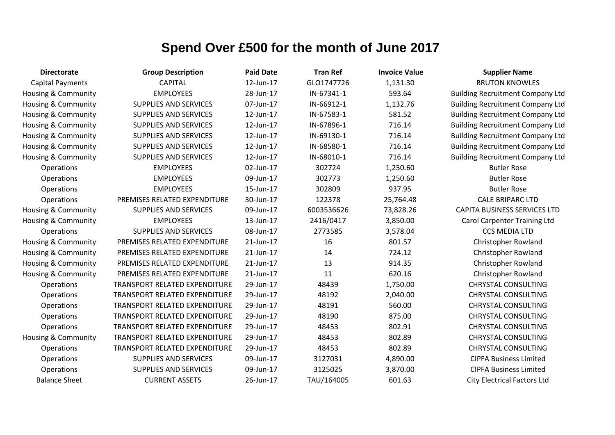| <b>Directorate</b>             | <b>Group Description</b>      | <b>Paid Date</b> | <b>Tran Ref</b> | <b>Invoice Value</b> | <b>Supplier Name</b>                    |
|--------------------------------|-------------------------------|------------------|-----------------|----------------------|-----------------------------------------|
| <b>Capital Payments</b>        | <b>CAPITAL</b>                | 12-Jun-17        | GLO1747726      | 1,131.30             | <b>BRUTON KNOWLES</b>                   |
| Housing & Community            | <b>EMPLOYEES</b>              | 28-Jun-17        | IN-67341-1      | 593.64               | <b>Building Recruitment Company Ltd</b> |
| Housing & Community            | SUPPLIES AND SERVICES         | 07-Jun-17        | IN-66912-1      | 1,132.76             | <b>Building Recruitment Company Ltd</b> |
| <b>Housing &amp; Community</b> | SUPPLIES AND SERVICES         | 12-Jun-17        | IN-67583-1      | 581.52               | <b>Building Recruitment Company Ltd</b> |
| <b>Housing &amp; Community</b> | <b>SUPPLIES AND SERVICES</b>  | 12-Jun-17        | IN-67896-1      | 716.14               | <b>Building Recruitment Company Ltd</b> |
| <b>Housing &amp; Community</b> | <b>SUPPLIES AND SERVICES</b>  | 12-Jun-17        | IN-69130-1      | 716.14               | <b>Building Recruitment Company Ltd</b> |
| <b>Housing &amp; Community</b> | <b>SUPPLIES AND SERVICES</b>  | 12-Jun-17        | IN-68580-1      | 716.14               | <b>Building Recruitment Company Ltd</b> |
| <b>Housing &amp; Community</b> | <b>SUPPLIES AND SERVICES</b>  | 12-Jun-17        | IN-68010-1      | 716.14               | <b>Building Recruitment Company Ltd</b> |
| Operations                     | <b>EMPLOYEES</b>              | 02-Jun-17        | 302724          | 1,250.60             | <b>Butler Rose</b>                      |
| Operations                     | <b>EMPLOYEES</b>              | 09-Jun-17        | 302773          | 1,250.60             | <b>Butler Rose</b>                      |
| Operations                     | <b>EMPLOYEES</b>              | 15-Jun-17        | 302809          | 937.95               | <b>Butler Rose</b>                      |
| Operations                     | PREMISES RELATED EXPENDITURE  | 30-Jun-17        | 122378          | 25,764.48            | <b>CALE BRIPARC LTD</b>                 |
| <b>Housing &amp; Community</b> | <b>SUPPLIES AND SERVICES</b>  | 09-Jun-17        | 6003536626      | 73,828.26            | <b>CAPITA BUSINESS SERVICES LTD</b>     |
| Housing & Community            | <b>EMPLOYEES</b>              | 13-Jun-17        | 2416/0417       | 3,850.00             | <b>Carol Carpenter Training Ltd</b>     |
| Operations                     | <b>SUPPLIES AND SERVICES</b>  | 08-Jun-17        | 2773585         | 3,578.04             | <b>CCS MEDIA LTD</b>                    |
| <b>Housing &amp; Community</b> | PREMISES RELATED EXPENDITURE  | 21-Jun-17        | 16              | 801.57               | <b>Christopher Rowland</b>              |
| <b>Housing &amp; Community</b> | PREMISES RELATED EXPENDITURE  | 21-Jun-17        | 14              | 724.12               | <b>Christopher Rowland</b>              |
| <b>Housing &amp; Community</b> | PREMISES RELATED EXPENDITURE  | 21-Jun-17        | 13              | 914.35               | Christopher Rowland                     |
| <b>Housing &amp; Community</b> | PREMISES RELATED EXPENDITURE  | 21-Jun-17        | 11              | 620.16               | <b>Christopher Rowland</b>              |
| Operations                     | TRANSPORT RELATED EXPENDITURE | 29-Jun-17        | 48439           | 1,750.00             | <b>CHRYSTAL CONSULTING</b>              |
| Operations                     | TRANSPORT RELATED EXPENDITURE | 29-Jun-17        | 48192           | 2,040.00             | <b>CHRYSTAL CONSULTING</b>              |
| Operations                     | TRANSPORT RELATED EXPENDITURE | 29-Jun-17        | 48191           | 560.00               | <b>CHRYSTAL CONSULTING</b>              |
| Operations                     | TRANSPORT RELATED EXPENDITURE | 29-Jun-17        | 48190           | 875.00               | <b>CHRYSTAL CONSULTING</b>              |
| Operations                     | TRANSPORT RELATED EXPENDITURE | 29-Jun-17        | 48453           | 802.91               | <b>CHRYSTAL CONSULTING</b>              |
| <b>Housing &amp; Community</b> | TRANSPORT RELATED EXPENDITURE | 29-Jun-17        | 48453           | 802.89               | <b>CHRYSTAL CONSULTING</b>              |
| Operations                     | TRANSPORT RELATED EXPENDITURE | 29-Jun-17        | 48453           | 802.89               | <b>CHRYSTAL CONSULTING</b>              |
| Operations                     | <b>SUPPLIES AND SERVICES</b>  | 09-Jun-17        | 3127031         | 4,890.00             | <b>CIPFA Business Limited</b>           |
| Operations                     | <b>SUPPLIES AND SERVICES</b>  | 09-Jun-17        | 3125025         | 3,870.00             | <b>CIPFA Business Limited</b>           |
| <b>Balance Sheet</b>           | <b>CURRENT ASSETS</b>         | 26-Jun-17        | TAU/164005      | 601.63               | <b>City Electrical Factors Ltd</b>      |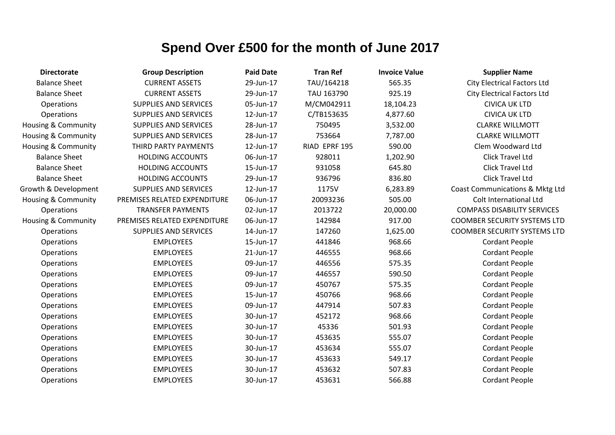| <b>Directorate</b>             | <b>Group Description</b>     | <b>Paid Date</b> | <b>Tran Ref</b> | <b>Invoice Value</b> | <b>Supplier Name</b>                |
|--------------------------------|------------------------------|------------------|-----------------|----------------------|-------------------------------------|
| <b>Balance Sheet</b>           | <b>CURRENT ASSETS</b>        | 29-Jun-17        | TAU/164218      | 565.35               | <b>City Electrical Factors Ltd</b>  |
| <b>Balance Sheet</b>           | <b>CURRENT ASSETS</b>        | 29-Jun-17        | TAU 163790      | 925.19               | <b>City Electrical Factors Ltd</b>  |
| Operations                     | <b>SUPPLIES AND SERVICES</b> | 05-Jun-17        | M/CM042911      | 18,104.23            | <b>CIVICA UK LTD</b>                |
| Operations                     | <b>SUPPLIES AND SERVICES</b> | 12-Jun-17        | C/TB153635      | 4,877.60             | <b>CIVICA UK LTD</b>                |
| <b>Housing &amp; Community</b> | <b>SUPPLIES AND SERVICES</b> | 28-Jun-17        | 750495          | 3,532.00             | <b>CLARKE WILLMOTT</b>              |
| <b>Housing &amp; Community</b> | <b>SUPPLIES AND SERVICES</b> | 28-Jun-17        | 753664          | 7,787.00             | <b>CLARKE WILLMOTT</b>              |
| <b>Housing &amp; Community</b> | THIRD PARTY PAYMENTS         | 12-Jun-17        | RIAD EPRF 195   | 590.00               | Clem Woodward Ltd                   |
| <b>Balance Sheet</b>           | <b>HOLDING ACCOUNTS</b>      | 06-Jun-17        | 928011          | 1,202.90             | Click Travel Ltd                    |
| <b>Balance Sheet</b>           | <b>HOLDING ACCOUNTS</b>      | 15-Jun-17        | 931058          | 645.80               | Click Travel Ltd                    |
| <b>Balance Sheet</b>           | <b>HOLDING ACCOUNTS</b>      | 29-Jun-17        | 936796          | 836.80               | <b>Click Travel Ltd</b>             |
| Growth & Development           | <b>SUPPLIES AND SERVICES</b> | 12-Jun-17        | 1175V           | 6,283.89             | Coast Communications & Mktg Ltd     |
| Housing & Community            | PREMISES RELATED EXPENDITURE | 06-Jun-17        | 20093236        | 505.00               | Colt International Ltd              |
| Operations                     | <b>TRANSFER PAYMENTS</b>     | 02-Jun-17        | 2013722         | 20,000.00            | <b>COMPASS DISABILITY SERVICES</b>  |
| <b>Housing &amp; Community</b> | PREMISES RELATED EXPENDITURE | 06-Jun-17        | 142984          | 917.00               | <b>COOMBER SECURITY SYSTEMS LTD</b> |
| Operations                     | <b>SUPPLIES AND SERVICES</b> | 14-Jun-17        | 147260          | 1,625.00             | <b>COOMBER SECURITY SYSTEMS LTD</b> |
| Operations                     | <b>EMPLOYEES</b>             | 15-Jun-17        | 441846          | 968.66               | <b>Cordant People</b>               |
| Operations                     | <b>EMPLOYEES</b>             | 21-Jun-17        | 446555          | 968.66               | <b>Cordant People</b>               |
| Operations                     | <b>EMPLOYEES</b>             | 09-Jun-17        | 446556          | 575.35               | <b>Cordant People</b>               |
| Operations                     | <b>EMPLOYEES</b>             | 09-Jun-17        | 446557          | 590.50               | <b>Cordant People</b>               |
| Operations                     | <b>EMPLOYEES</b>             | 09-Jun-17        | 450767          | 575.35               | <b>Cordant People</b>               |
| Operations                     | <b>EMPLOYEES</b>             | 15-Jun-17        | 450766          | 968.66               | <b>Cordant People</b>               |
| Operations                     | <b>EMPLOYEES</b>             | 09-Jun-17        | 447914          | 507.83               | <b>Cordant People</b>               |
| Operations                     | <b>EMPLOYEES</b>             | 30-Jun-17        | 452172          | 968.66               | <b>Cordant People</b>               |
| Operations                     | <b>EMPLOYEES</b>             | 30-Jun-17        | 45336           | 501.93               | <b>Cordant People</b>               |
| Operations                     | <b>EMPLOYEES</b>             | 30-Jun-17        | 453635          | 555.07               | <b>Cordant People</b>               |
| Operations                     | <b>EMPLOYEES</b>             | 30-Jun-17        | 453634          | 555.07               | <b>Cordant People</b>               |
| Operations                     | <b>EMPLOYEES</b>             | 30-Jun-17        | 453633          | 549.17               | <b>Cordant People</b>               |
| Operations                     | <b>EMPLOYEES</b>             | 30-Jun-17        | 453632          | 507.83               | <b>Cordant People</b>               |
| Operations                     | <b>EMPLOYEES</b>             | 30-Jun-17        | 453631          | 566.88               | <b>Cordant People</b>               |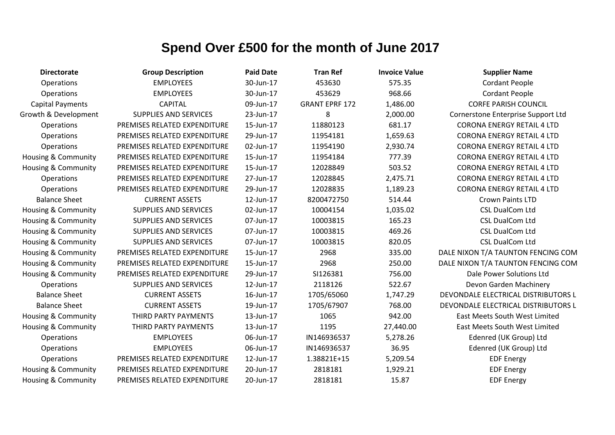| <b>Directorate</b>             | <b>Group Description</b>     | <b>Paid Date</b> | <b>Tran Ref</b>       | <b>Invoice Value</b> | <b>Supplier Name</b>                 |
|--------------------------------|------------------------------|------------------|-----------------------|----------------------|--------------------------------------|
| Operations                     | <b>EMPLOYEES</b>             | 30-Jun-17        | 453630                | 575.35               | <b>Cordant People</b>                |
| Operations                     | <b>EMPLOYEES</b>             | 30-Jun-17        | 453629                | 968.66               | <b>Cordant People</b>                |
| <b>Capital Payments</b>        | <b>CAPITAL</b>               | 09-Jun-17        | <b>GRANT EPRF 172</b> | 1,486.00             | <b>CORFE PARISH COUNCIL</b>          |
| Growth & Development           | <b>SUPPLIES AND SERVICES</b> | 23-Jun-17        | 8                     | 2,000.00             | Cornerstone Enterprise Support Ltd   |
| Operations                     | PREMISES RELATED EXPENDITURE | 15-Jun-17        | 11880123              | 681.17               | <b>CORONA ENERGY RETAIL 4 LTD</b>    |
| Operations                     | PREMISES RELATED EXPENDITURE | 29-Jun-17        | 11954181              | 1,659.63             | <b>CORONA ENERGY RETAIL 4 LTD</b>    |
| Operations                     | PREMISES RELATED EXPENDITURE | 02-Jun-17        | 11954190              | 2,930.74             | <b>CORONA ENERGY RETAIL 4 LTD</b>    |
| <b>Housing &amp; Community</b> | PREMISES RELATED EXPENDITURE | 15-Jun-17        | 11954184              | 777.39               | <b>CORONA ENERGY RETAIL 4 LTD</b>    |
| <b>Housing &amp; Community</b> | PREMISES RELATED EXPENDITURE | 15-Jun-17        | 12028849              | 503.52               | <b>CORONA ENERGY RETAIL 4 LTD</b>    |
| Operations                     | PREMISES RELATED EXPENDITURE | 27-Jun-17        | 12028845              | 2,475.71             | <b>CORONA ENERGY RETAIL 4 LTD</b>    |
| Operations                     | PREMISES RELATED EXPENDITURE | 29-Jun-17        | 12028835              | 1,189.23             | <b>CORONA ENERGY RETAIL 4 LTD</b>    |
| <b>Balance Sheet</b>           | <b>CURRENT ASSETS</b>        | 12-Jun-17        | 8200472750            | 514.44               | <b>Crown Paints LTD</b>              |
| Housing & Community            | <b>SUPPLIES AND SERVICES</b> | 02-Jun-17        | 10004154              | 1,035.02             | <b>CSL DualCom Ltd</b>               |
| <b>Housing &amp; Community</b> | <b>SUPPLIES AND SERVICES</b> | 07-Jun-17        | 10003815              | 165.23               | <b>CSL DualCom Ltd</b>               |
| Housing & Community            | <b>SUPPLIES AND SERVICES</b> | 07-Jun-17        | 10003815              | 469.26               | <b>CSL DualCom Ltd</b>               |
| <b>Housing &amp; Community</b> | <b>SUPPLIES AND SERVICES</b> | 07-Jun-17        | 10003815              | 820.05               | <b>CSL DualCom Ltd</b>               |
| Housing & Community            | PREMISES RELATED EXPENDITURE | 15-Jun-17        | 2968                  | 335.00               | DALE NIXON T/A TAUNTON FENCING COM   |
| Housing & Community            | PREMISES RELATED EXPENDITURE | 15-Jun-17        | 2968                  | 250.00               | DALE NIXON T/A TAUNTON FENCING COM   |
| <b>Housing &amp; Community</b> | PREMISES RELATED EXPENDITURE | 29-Jun-17        | SI126381              | 756.00               | Dale Power Solutions Ltd             |
| Operations                     | <b>SUPPLIES AND SERVICES</b> | 12-Jun-17        | 2118126               | 522.67               | Devon Garden Machinery               |
| <b>Balance Sheet</b>           | <b>CURRENT ASSETS</b>        | 16-Jun-17        | 1705/65060            | 1,747.29             | DEVONDALE ELECTRICAL DISTRIBUTORS L  |
| <b>Balance Sheet</b>           | <b>CURRENT ASSETS</b>        | 19-Jun-17        | 1705/67907            | 768.00               | DEVONDALE ELECTRICAL DISTRIBUTORS L  |
| Housing & Community            | THIRD PARTY PAYMENTS         | 13-Jun-17        | 1065                  | 942.00               | <b>East Meets South West Limited</b> |
| <b>Housing &amp; Community</b> | THIRD PARTY PAYMENTS         | 13-Jun-17        | 1195                  | 27,440.00            | <b>East Meets South West Limited</b> |
| Operations                     | <b>EMPLOYEES</b>             | 06-Jun-17        | IN146936537           | 5,278.26             | Edenred (UK Group) Ltd               |
| Operations                     | <b>EMPLOYEES</b>             | 06-Jun-17        | IN146936537           | 36.95                | Edenred (UK Group) Ltd               |
| Operations                     | PREMISES RELATED EXPENDITURE | 12-Jun-17        | 1.38821E+15           | 5,209.54             | <b>EDF Energy</b>                    |
| <b>Housing &amp; Community</b> | PREMISES RELATED EXPENDITURE | 20-Jun-17        | 2818181               | 1,929.21             | <b>EDF Energy</b>                    |
| <b>Housing &amp; Community</b> | PREMISES RELATED EXPENDITURE | 20-Jun-17        | 2818181               | 15.87                | <b>EDF Energy</b>                    |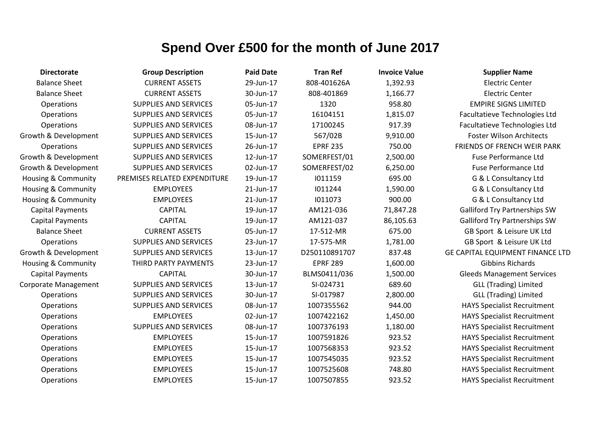| <b>Directorate</b>             | <b>Group Description</b>     | <b>Paid Date</b> | <b>Tran Ref</b> | <b>Invoice Value</b> | <b>Supplier Name</b>                    |
|--------------------------------|------------------------------|------------------|-----------------|----------------------|-----------------------------------------|
| <b>Balance Sheet</b>           | <b>CURRENT ASSETS</b>        | 29-Jun-17        | 808-401626A     | 1,392.93             | <b>Electric Center</b>                  |
| <b>Balance Sheet</b>           | <b>CURRENT ASSETS</b>        | 30-Jun-17        | 808-401869      | 1,166.77             | <b>Electric Center</b>                  |
| Operations                     | <b>SUPPLIES AND SERVICES</b> | 05-Jun-17        | 1320            | 958.80               | <b>EMPIRE SIGNS LIMITED</b>             |
| Operations                     | <b>SUPPLIES AND SERVICES</b> | 05-Jun-17        | 16104151        | 1,815.07             | Facultatieve Technologies Ltd           |
| Operations                     | <b>SUPPLIES AND SERVICES</b> | 08-Jun-17        | 17100245        | 917.39               | Facultatieve Technologies Ltd           |
| Growth & Development           | <b>SUPPLIES AND SERVICES</b> | 15-Jun-17        | 567/02B         | 9,910.00             | <b>Foster Wilson Architects</b>         |
| <b>Operations</b>              | <b>SUPPLIES AND SERVICES</b> | 26-Jun-17        | <b>EPRF 235</b> | 750.00               | FRIENDS OF FRENCH WEIR PARK             |
| Growth & Development           | <b>SUPPLIES AND SERVICES</b> | 12-Jun-17        | SOMERFEST/01    | 2,500.00             | <b>Fuse Performance Ltd</b>             |
| Growth & Development           | <b>SUPPLIES AND SERVICES</b> | 02-Jun-17        | SOMERFEST/02    | 6,250.00             | <b>Fuse Performance Ltd</b>             |
| <b>Housing &amp; Community</b> | PREMISES RELATED EXPENDITURE | 19-Jun-17        | 1011159         | 695.00               | G & L Consultancy Ltd                   |
| <b>Housing &amp; Community</b> | <b>EMPLOYEES</b>             | 21-Jun-17        | 1011244         | 1,590.00             | G & L Consultancy Ltd                   |
| Housing & Community            | <b>EMPLOYEES</b>             | 21-Jun-17        | 1011073         | 900.00               | G & L Consultancy Ltd                   |
| <b>Capital Payments</b>        | <b>CAPITAL</b>               | 19-Jun-17        | AM121-036       | 71,847.28            | <b>Galliford Try Partnerships SW</b>    |
| <b>Capital Payments</b>        | <b>CAPITAL</b>               | 19-Jun-17        | AM121-037       | 86,105.63            | <b>Galliford Try Partnerships SW</b>    |
| <b>Balance Sheet</b>           | <b>CURRENT ASSETS</b>        | 05-Jun-17        | 17-512-MR       | 675.00               | GB Sport & Leisure UK Ltd               |
| Operations                     | <b>SUPPLIES AND SERVICES</b> | 23-Jun-17        | 17-575-MR       | 1,781.00             | GB Sport & Leisure UK Ltd               |
| Growth & Development           | <b>SUPPLIES AND SERVICES</b> | 13-Jun-17        | D250110891707   | 837.48               | <b>GE CAPITAL EQUIPMENT FINANCE LTD</b> |
| <b>Housing &amp; Community</b> | THIRD PARTY PAYMENTS         | 23-Jun-17        | <b>EPRF 289</b> | 1,600.00             | <b>Gibbins Richards</b>                 |
| <b>Capital Payments</b>        | <b>CAPITAL</b>               | 30-Jun-17        | BLMS0411/036    | 1,500.00             | <b>Gleeds Management Services</b>       |
| Corporate Management           | <b>SUPPLIES AND SERVICES</b> | 13-Jun-17        | SI-024731       | 689.60               | <b>GLL (Trading) Limited</b>            |
| Operations                     | <b>SUPPLIES AND SERVICES</b> | 30-Jun-17        | SI-017987       | 2,800.00             | <b>GLL (Trading) Limited</b>            |
| Operations                     | <b>SUPPLIES AND SERVICES</b> | 08-Jun-17        | 1007355562      | 944.00               | <b>HAYS Specialist Recruitment</b>      |
| Operations                     | <b>EMPLOYEES</b>             | 02-Jun-17        | 1007422162      | 1,450.00             | <b>HAYS Specialist Recruitment</b>      |
| <b>Operations</b>              | <b>SUPPLIES AND SERVICES</b> | 08-Jun-17        | 1007376193      | 1,180.00             | <b>HAYS Specialist Recruitment</b>      |
| Operations                     | <b>EMPLOYEES</b>             | 15-Jun-17        | 1007591826      | 923.52               | <b>HAYS Specialist Recruitment</b>      |
| Operations                     | <b>EMPLOYEES</b>             | 15-Jun-17        | 1007568353      | 923.52               | <b>HAYS Specialist Recruitment</b>      |
| Operations                     | <b>EMPLOYEES</b>             | 15-Jun-17        | 1007545035      | 923.52               | <b>HAYS Specialist Recruitment</b>      |
| Operations                     | <b>EMPLOYEES</b>             | 15-Jun-17        | 1007525608      | 748.80               | <b>HAYS Specialist Recruitment</b>      |
| Operations                     | <b>EMPLOYEES</b>             | 15-Jun-17        | 1007507855      | 923.52               | <b>HAYS Specialist Recruitment</b>      |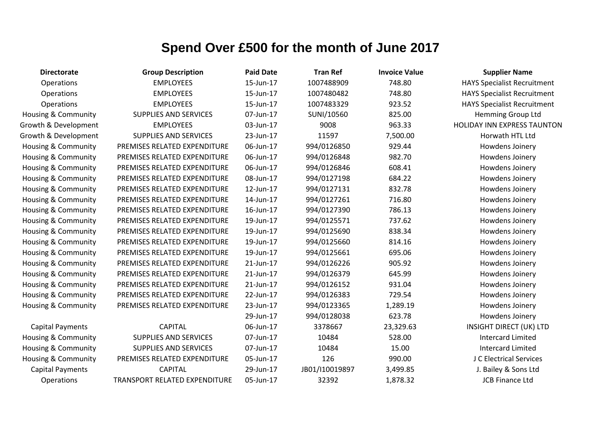| <b>Directorate</b>             | <b>Group Description</b>      | <b>Paid Date</b> | <b>Tran Ref</b> | <b>Invoice Value</b> | <b>Supplier Name</b>               |
|--------------------------------|-------------------------------|------------------|-----------------|----------------------|------------------------------------|
| Operations                     | <b>EMPLOYEES</b>              | 15-Jun-17        | 1007488909      | 748.80               | <b>HAYS Specialist Recruitment</b> |
| Operations                     | <b>EMPLOYEES</b>              | 15-Jun-17        | 1007480482      | 748.80               | <b>HAYS Specialist Recruitment</b> |
| Operations                     | <b>EMPLOYEES</b>              | 15-Jun-17        | 1007483329      | 923.52               | <b>HAYS Specialist Recruitment</b> |
| <b>Housing &amp; Community</b> | <b>SUPPLIES AND SERVICES</b>  | 07-Jun-17        | SUNI/10560      | 825.00               | <b>Hemming Group Ltd</b>           |
| Growth & Development           | <b>EMPLOYEES</b>              | 03-Jun-17        | 9008            | 963.33               | <b>HOLIDAY INN EXPRESS TAUNTON</b> |
| Growth & Development           | <b>SUPPLIES AND SERVICES</b>  | 23-Jun-17        | 11597           | 7,500.00             | Horwath HTL Ltd                    |
| Housing & Community            | PREMISES RELATED EXPENDITURE  | 06-Jun-17        | 994/0126850     | 929.44               | Howdens Joinery                    |
| <b>Housing &amp; Community</b> | PREMISES RELATED EXPENDITURE  | 06-Jun-17        | 994/0126848     | 982.70               | Howdens Joinery                    |
| Housing & Community            | PREMISES RELATED EXPENDITURE  | 06-Jun-17        | 994/0126846     | 608.41               | Howdens Joinery                    |
| <b>Housing &amp; Community</b> | PREMISES RELATED EXPENDITURE  | 08-Jun-17        | 994/0127198     | 684.22               | Howdens Joinery                    |
| Housing & Community            | PREMISES RELATED EXPENDITURE  | 12-Jun-17        | 994/0127131     | 832.78               | Howdens Joinery                    |
| <b>Housing &amp; Community</b> | PREMISES RELATED EXPENDITURE  | 14-Jun-17        | 994/0127261     | 716.80               | Howdens Joinery                    |
| Housing & Community            | PREMISES RELATED EXPENDITURE  | 16-Jun-17        | 994/0127390     | 786.13               | Howdens Joinery                    |
| <b>Housing &amp; Community</b> | PREMISES RELATED EXPENDITURE  | 19-Jun-17        | 994/0125571     | 737.62               | Howdens Joinery                    |
| Housing & Community            | PREMISES RELATED EXPENDITURE  | 19-Jun-17        | 994/0125690     | 838.34               | Howdens Joinery                    |
| <b>Housing &amp; Community</b> | PREMISES RELATED EXPENDITURE  | 19-Jun-17        | 994/0125660     | 814.16               | Howdens Joinery                    |
| <b>Housing &amp; Community</b> | PREMISES RELATED EXPENDITURE  | 19-Jun-17        | 994/0125661     | 695.06               | Howdens Joinery                    |
| <b>Housing &amp; Community</b> | PREMISES RELATED EXPENDITURE  | 21-Jun-17        | 994/0126226     | 905.92               | Howdens Joinery                    |
| Housing & Community            | PREMISES RELATED EXPENDITURE  | 21-Jun-17        | 994/0126379     | 645.99               | Howdens Joinery                    |
| <b>Housing &amp; Community</b> | PREMISES RELATED EXPENDITURE  | 21-Jun-17        | 994/0126152     | 931.04               | Howdens Joinery                    |
| <b>Housing &amp; Community</b> | PREMISES RELATED EXPENDITURE  | 22-Jun-17        | 994/0126383     | 729.54               | Howdens Joinery                    |
| <b>Housing &amp; Community</b> | PREMISES RELATED EXPENDITURE  | 23-Jun-17        | 994/0123365     | 1,289.19             | Howdens Joinery                    |
|                                |                               | 29-Jun-17        | 994/0128038     | 623.78               | Howdens Joinery                    |
| <b>Capital Payments</b>        | <b>CAPITAL</b>                | 06-Jun-17        | 3378667         | 23,329.63            | INSIGHT DIRECT (UK) LTD            |
| Housing & Community            | <b>SUPPLIES AND SERVICES</b>  | 07-Jun-17        | 10484           | 528.00               | <b>Intercard Limited</b>           |
| <b>Housing &amp; Community</b> | <b>SUPPLIES AND SERVICES</b>  | 07-Jun-17        | 10484           | 15.00                | <b>Intercard Limited</b>           |
| Housing & Community            | PREMISES RELATED EXPENDITURE  | 05-Jun-17        | 126             | 990.00               | J C Electrical Services            |
| <b>Capital Payments</b>        | <b>CAPITAL</b>                | 29-Jun-17        | JB01/I10019897  | 3,499.85             | J. Bailey & Sons Ltd               |
| Operations                     | TRANSPORT RELATED EXPENDITURE | 05-Jun-17        | 32392           | 1,878.32             | <b>JCB Finance Ltd</b>             |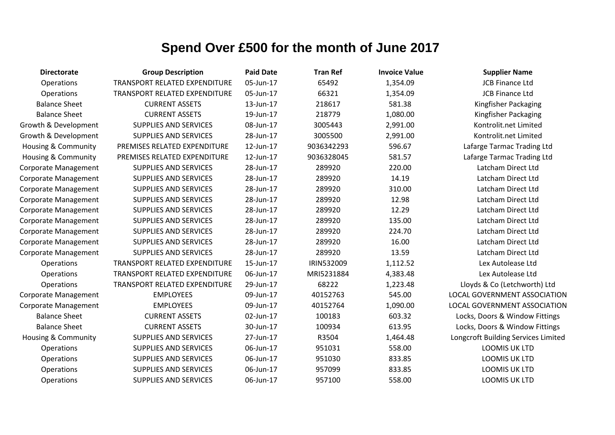| <b>Directorate</b>             | <b>Group Description</b>      | <b>Paid Date</b> | <b>Tran Ref</b> | <b>Invoice Value</b> | <b>Supplier Name</b>                |
|--------------------------------|-------------------------------|------------------|-----------------|----------------------|-------------------------------------|
| Operations                     | TRANSPORT RELATED EXPENDITURE | 05-Jun-17        | 65492           | 1,354.09             | <b>JCB Finance Ltd</b>              |
| Operations                     | TRANSPORT RELATED EXPENDITURE | 05-Jun-17        | 66321           | 1,354.09             | <b>JCB Finance Ltd</b>              |
| <b>Balance Sheet</b>           | <b>CURRENT ASSETS</b>         | 13-Jun-17        | 218617          | 581.38               | Kingfisher Packaging                |
| <b>Balance Sheet</b>           | <b>CURRENT ASSETS</b>         | 19-Jun-17        | 218779          | 1,080.00             | Kingfisher Packaging                |
| Growth & Development           | <b>SUPPLIES AND SERVICES</b>  | 08-Jun-17        | 3005443         | 2,991.00             | Kontrolit.net Limited               |
| Growth & Development           | <b>SUPPLIES AND SERVICES</b>  | 28-Jun-17        | 3005500         | 2,991.00             | Kontrolit.net Limited               |
| Housing & Community            | PREMISES RELATED EXPENDITURE  | 12-Jun-17        | 9036342293      | 596.67               | Lafarge Tarmac Trading Ltd          |
| <b>Housing &amp; Community</b> | PREMISES RELATED EXPENDITURE  | 12-Jun-17        | 9036328045      | 581.57               | Lafarge Tarmac Trading Ltd          |
| <b>Corporate Management</b>    | <b>SUPPLIES AND SERVICES</b>  | 28-Jun-17        | 289920          | 220.00               | Latcham Direct Ltd                  |
| <b>Corporate Management</b>    | <b>SUPPLIES AND SERVICES</b>  | 28-Jun-17        | 289920          | 14.19                | Latcham Direct Ltd                  |
| <b>Corporate Management</b>    | <b>SUPPLIES AND SERVICES</b>  | 28-Jun-17        | 289920          | 310.00               | Latcham Direct Ltd                  |
| <b>Corporate Management</b>    | <b>SUPPLIES AND SERVICES</b>  | 28-Jun-17        | 289920          | 12.98                | Latcham Direct Ltd                  |
| <b>Corporate Management</b>    | <b>SUPPLIES AND SERVICES</b>  | 28-Jun-17        | 289920          | 12.29                | Latcham Direct Ltd                  |
| <b>Corporate Management</b>    | <b>SUPPLIES AND SERVICES</b>  | 28-Jun-17        | 289920          | 135.00               | Latcham Direct Ltd                  |
| <b>Corporate Management</b>    | <b>SUPPLIES AND SERVICES</b>  | 28-Jun-17        | 289920          | 224.70               | Latcham Direct Ltd                  |
| <b>Corporate Management</b>    | <b>SUPPLIES AND SERVICES</b>  | 28-Jun-17        | 289920          | 16.00                | Latcham Direct Ltd                  |
| <b>Corporate Management</b>    | <b>SUPPLIES AND SERVICES</b>  | 28-Jun-17        | 289920          | 13.59                | Latcham Direct Ltd                  |
| Operations                     | TRANSPORT RELATED EXPENDITURE | 15-Jun-17        | IRIN532009      | 1,112.52             | Lex Autolease Ltd                   |
| Operations                     | TRANSPORT RELATED EXPENDITURE | 06-Jun-17        | MRI5231884      | 4,383.48             | Lex Autolease Ltd                   |
| Operations                     | TRANSPORT RELATED EXPENDITURE | 29-Jun-17        | 68222           | 1,223.48             | Lloyds & Co (Letchworth) Ltd        |
| <b>Corporate Management</b>    | <b>EMPLOYEES</b>              | 09-Jun-17        | 40152763        | 545.00               | LOCAL GOVERNMENT ASSOCIATION        |
| <b>Corporate Management</b>    | <b>EMPLOYEES</b>              | 09-Jun-17        | 40152764        | 1,090.00             | LOCAL GOVERNMENT ASSOCIATION        |
| <b>Balance Sheet</b>           | <b>CURRENT ASSETS</b>         | 02-Jun-17        | 100183          | 603.32               | Locks, Doors & Window Fittings      |
| <b>Balance Sheet</b>           | <b>CURRENT ASSETS</b>         | 30-Jun-17        | 100934          | 613.95               | Locks, Doors & Window Fittings      |
| <b>Housing &amp; Community</b> | <b>SUPPLIES AND SERVICES</b>  | 27-Jun-17        | R3504           | 1,464.48             | Longcroft Building Services Limited |
| Operations                     | SUPPLIES AND SERVICES         | 06-Jun-17        | 951031          | 558.00               | <b>LOOMIS UK LTD</b>                |
| Operations                     | <b>SUPPLIES AND SERVICES</b>  | 06-Jun-17        | 951030          | 833.85               | LOOMIS UK LTD                       |
| Operations                     | <b>SUPPLIES AND SERVICES</b>  | 06-Jun-17        | 957099          | 833.85               | LOOMIS UK LTD                       |
| Operations                     | <b>SUPPLIES AND SERVICES</b>  | 06-Jun-17        | 957100          | 558.00               | <b>LOOMIS UK LTD</b>                |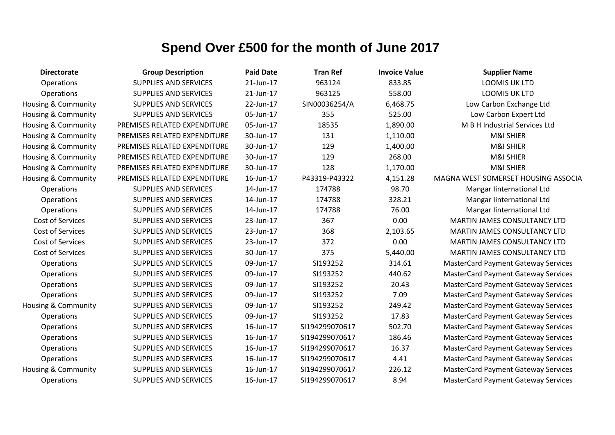| <b>Directorate</b>             | <b>Group Description</b>     | <b>Paid Date</b> | <b>Tran Ref</b> | <b>Invoice Value</b> | <b>Supplier Name</b>                       |
|--------------------------------|------------------------------|------------------|-----------------|----------------------|--------------------------------------------|
| Operations                     | <b>SUPPLIES AND SERVICES</b> | 21-Jun-17        | 963124          | 833.85               | <b>LOOMIS UK LTD</b>                       |
| Operations                     | <b>SUPPLIES AND SERVICES</b> | 21-Jun-17        | 963125          | 558.00               | <b>LOOMIS UK LTD</b>                       |
| <b>Housing &amp; Community</b> | <b>SUPPLIES AND SERVICES</b> | 22-Jun-17        | SIN00036254/A   | 6,468.75             | Low Carbon Exchange Ltd                    |
| <b>Housing &amp; Community</b> | <b>SUPPLIES AND SERVICES</b> | 05-Jun-17        | 355             | 525.00               | Low Carbon Expert Ltd                      |
| <b>Housing &amp; Community</b> | PREMISES RELATED EXPENDITURE | 05-Jun-17        | 18535           | 1,890.00             | M B H Industrial Services Ltd              |
| <b>Housing &amp; Community</b> | PREMISES RELATED EXPENDITURE | 30-Jun-17        | 131             | 1,110.00             | M&I SHIER                                  |
| Housing & Community            | PREMISES RELATED EXPENDITURE | 30-Jun-17        | 129             | 1,400.00             | M&I SHIER                                  |
| <b>Housing &amp; Community</b> | PREMISES RELATED EXPENDITURE | 30-Jun-17        | 129             | 268.00               | M&I SHIER                                  |
| <b>Housing &amp; Community</b> | PREMISES RELATED EXPENDITURE | 30-Jun-17        | 128             | 1,170.00             | M&I SHIER                                  |
| Housing & Community            | PREMISES RELATED EXPENDITURE | 16-Jun-17        | P43319-P43322   | 4,151.28             | MAGNA WEST SOMERSET HOUSING ASSOCIA        |
| Operations                     | <b>SUPPLIES AND SERVICES</b> | 14-Jun-17        | 174788          | 98.70                | Mangar linternational Ltd                  |
| Operations                     | <b>SUPPLIES AND SERVICES</b> | 14-Jun-17        | 174788          | 328.21               | Mangar linternational Ltd                  |
| Operations                     | <b>SUPPLIES AND SERVICES</b> | 14-Jun-17        | 174788          | 76.00                | Mangar linternational Ltd                  |
| <b>Cost of Services</b>        | <b>SUPPLIES AND SERVICES</b> | 23-Jun-17        | 367             | 0.00                 | MARTIN JAMES CONSULTANCY LTD               |
| <b>Cost of Services</b>        | SUPPLIES AND SERVICES        | 23-Jun-17        | 368             | 2,103.65             | MARTIN JAMES CONSULTANCY LTD               |
| Cost of Services               | <b>SUPPLIES AND SERVICES</b> | 23-Jun-17        | 372             | 0.00                 | <b>MARTIN JAMES CONSULTANCY LTD</b>        |
| Cost of Services               | <b>SUPPLIES AND SERVICES</b> | 30-Jun-17        | 375             | 5,440.00             | MARTIN JAMES CONSULTANCY LTD               |
| Operations                     | <b>SUPPLIES AND SERVICES</b> | 09-Jun-17        | SI193252        | 314.61               | <b>MasterCard Payment Gateway Services</b> |
| Operations                     | <b>SUPPLIES AND SERVICES</b> | 09-Jun-17        | SI193252        | 440.62               | <b>MasterCard Payment Gateway Services</b> |
| Operations                     | <b>SUPPLIES AND SERVICES</b> | 09-Jun-17        | SI193252        | 20.43                | <b>MasterCard Payment Gateway Services</b> |
| Operations                     | <b>SUPPLIES AND SERVICES</b> | 09-Jun-17        | SI193252        | 7.09                 | <b>MasterCard Payment Gateway Services</b> |
| Housing & Community            | <b>SUPPLIES AND SERVICES</b> | 09-Jun-17        | SI193252        | 249.42               | <b>MasterCard Payment Gateway Services</b> |
| Operations                     | <b>SUPPLIES AND SERVICES</b> | 09-Jun-17        | SI193252        | 17.83                | <b>MasterCard Payment Gateway Services</b> |
| Operations                     | <b>SUPPLIES AND SERVICES</b> | 16-Jun-17        | SI194299070617  | 502.70               | <b>MasterCard Payment Gateway Services</b> |
| Operations                     | <b>SUPPLIES AND SERVICES</b> | 16-Jun-17        | SI194299070617  | 186.46               | <b>MasterCard Payment Gateway Services</b> |
| Operations                     | <b>SUPPLIES AND SERVICES</b> | 16-Jun-17        | SI194299070617  | 16.37                | <b>MasterCard Payment Gateway Services</b> |
| Operations                     | <b>SUPPLIES AND SERVICES</b> | 16-Jun-17        | SI194299070617  | 4.41                 | <b>MasterCard Payment Gateway Services</b> |
| Housing & Community            | <b>SUPPLIES AND SERVICES</b> | 16-Jun-17        | SI194299070617  | 226.12               | <b>MasterCard Payment Gateway Services</b> |
| Operations                     | <b>SUPPLIES AND SERVICES</b> | 16-Jun-17        | SI194299070617  | 8.94                 | <b>MasterCard Payment Gateway Services</b> |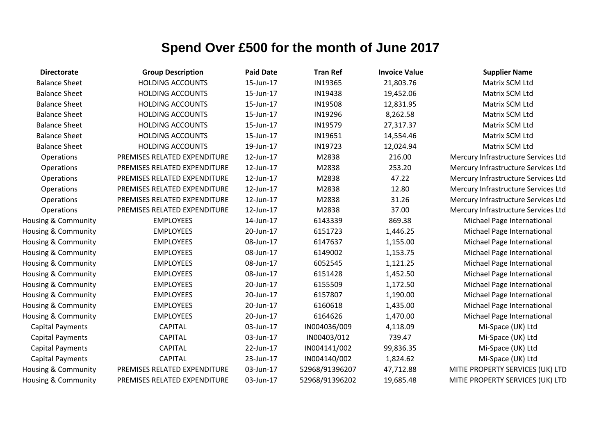| <b>Directorate</b>             | <b>Group Description</b>     | <b>Paid Date</b> | <b>Tran Ref</b> | <b>Invoice Value</b> | <b>Supplier Name</b>                |
|--------------------------------|------------------------------|------------------|-----------------|----------------------|-------------------------------------|
| <b>Balance Sheet</b>           | <b>HOLDING ACCOUNTS</b>      | 15-Jun-17        | IN19365         | 21,803.76            | Matrix SCM Ltd                      |
| <b>Balance Sheet</b>           | <b>HOLDING ACCOUNTS</b>      | 15-Jun-17        | IN19438         | 19,452.06            | Matrix SCM Ltd                      |
| <b>Balance Sheet</b>           | <b>HOLDING ACCOUNTS</b>      | 15-Jun-17        | IN19508         | 12,831.95            | Matrix SCM Ltd                      |
| <b>Balance Sheet</b>           | <b>HOLDING ACCOUNTS</b>      | 15-Jun-17        | IN19296         | 8,262.58             | Matrix SCM Ltd                      |
| <b>Balance Sheet</b>           | <b>HOLDING ACCOUNTS</b>      | 15-Jun-17        | IN19579         | 27,317.37            | Matrix SCM Ltd                      |
| <b>Balance Sheet</b>           | <b>HOLDING ACCOUNTS</b>      | 15-Jun-17        | IN19651         | 14,554.46            | Matrix SCM Ltd                      |
| <b>Balance Sheet</b>           | <b>HOLDING ACCOUNTS</b>      | 19-Jun-17        | IN19723         | 12,024.94            | Matrix SCM Ltd                      |
| Operations                     | PREMISES RELATED EXPENDITURE | 12-Jun-17        | M2838           | 216.00               | Mercury Infrastructure Services Ltd |
| Operations                     | PREMISES RELATED EXPENDITURE | 12-Jun-17        | M2838           | 253.20               | Mercury Infrastructure Services Ltd |
| Operations                     | PREMISES RELATED EXPENDITURE | 12-Jun-17        | M2838           | 47.22                | Mercury Infrastructure Services Ltd |
| Operations                     | PREMISES RELATED EXPENDITURE | 12-Jun-17        | M2838           | 12.80                | Mercury Infrastructure Services Ltd |
| Operations                     | PREMISES RELATED EXPENDITURE | 12-Jun-17        | M2838           | 31.26                | Mercury Infrastructure Services Ltd |
| Operations                     | PREMISES RELATED EXPENDITURE | 12-Jun-17        | M2838           | 37.00                | Mercury Infrastructure Services Ltd |
| <b>Housing &amp; Community</b> | <b>EMPLOYEES</b>             | 14-Jun-17        | 6143339         | 869.38               | Michael Page International          |
| Housing & Community            | <b>EMPLOYEES</b>             | 20-Jun-17        | 6151723         | 1,446.25             | Michael Page International          |
| Housing & Community            | <b>EMPLOYEES</b>             | 08-Jun-17        | 6147637         | 1,155.00             | Michael Page International          |
| Housing & Community            | <b>EMPLOYEES</b>             | 08-Jun-17        | 6149002         | 1,153.75             | Michael Page International          |
| <b>Housing &amp; Community</b> | <b>EMPLOYEES</b>             | 08-Jun-17        | 6052545         | 1,121.25             | Michael Page International          |
| Housing & Community            | <b>EMPLOYEES</b>             | 08-Jun-17        | 6151428         | 1,452.50             | Michael Page International          |
| Housing & Community            | <b>EMPLOYEES</b>             | 20-Jun-17        | 6155509         | 1,172.50             | Michael Page International          |
| <b>Housing &amp; Community</b> | <b>EMPLOYEES</b>             | 20-Jun-17        | 6157807         | 1,190.00             | Michael Page International          |
| <b>Housing &amp; Community</b> | <b>EMPLOYEES</b>             | 20-Jun-17        | 6160618         | 1,435.00             | Michael Page International          |
| Housing & Community            | <b>EMPLOYEES</b>             | 20-Jun-17        | 6164626         | 1,470.00             | Michael Page International          |
| <b>Capital Payments</b>        | <b>CAPITAL</b>               | 03-Jun-17        | IN004036/009    | 4,118.09             | Mi-Space (UK) Ltd                   |
| <b>Capital Payments</b>        | <b>CAPITAL</b>               | 03-Jun-17        | IN00403/012     | 739.47               | Mi-Space (UK) Ltd                   |
| <b>Capital Payments</b>        | <b>CAPITAL</b>               | 22-Jun-17        | IN004141/002    | 99,836.35            | Mi-Space (UK) Ltd                   |
| <b>Capital Payments</b>        | <b>CAPITAL</b>               | 23-Jun-17        | IN004140/002    | 1,824.62             | Mi-Space (UK) Ltd                   |
| Housing & Community            | PREMISES RELATED EXPENDITURE | 03-Jun-17        | 52968/91396207  | 47,712.88            | MITIE PROPERTY SERVICES (UK) LTD    |
| Housing & Community            | PREMISES RELATED EXPENDITURE | 03-Jun-17        | 52968/91396202  | 19,685.48            | MITIE PROPERTY SERVICES (UK) LTD    |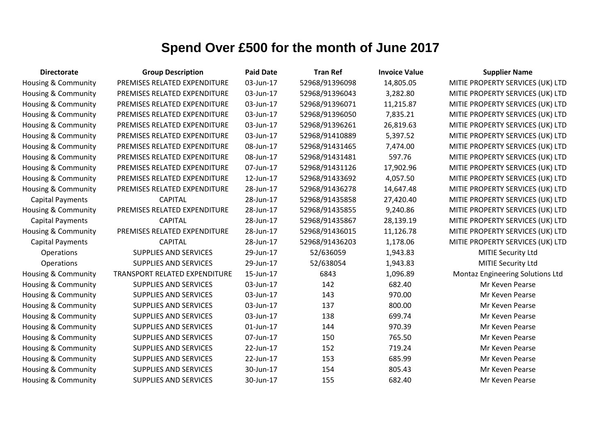| <b>Directorate</b>             | <b>Group Description</b>             | <b>Paid Date</b> | <b>Tran Ref</b> | <b>Invoice Value</b> | <b>Supplier Name</b>                    |
|--------------------------------|--------------------------------------|------------------|-----------------|----------------------|-----------------------------------------|
| <b>Housing &amp; Community</b> | PREMISES RELATED EXPENDITURE         | 03-Jun-17        | 52968/91396098  | 14,805.05            | MITIE PROPERTY SERVICES (UK) LTD        |
| Housing & Community            | PREMISES RELATED EXPENDITURE         | 03-Jun-17        | 52968/91396043  | 3,282.80             | MITIE PROPERTY SERVICES (UK) LTD        |
| Housing & Community            | PREMISES RELATED EXPENDITURE         | 03-Jun-17        | 52968/91396071  | 11,215.87            | MITIE PROPERTY SERVICES (UK) LTD        |
| Housing & Community            | PREMISES RELATED EXPENDITURE         | 03-Jun-17        | 52968/91396050  | 7,835.21             | MITIE PROPERTY SERVICES (UK) LTD        |
| Housing & Community            | PREMISES RELATED EXPENDITURE         | 03-Jun-17        | 52968/91396261  | 26,819.63            | MITIE PROPERTY SERVICES (UK) LTD        |
| Housing & Community            | PREMISES RELATED EXPENDITURE         | 03-Jun-17        | 52968/91410889  | 5,397.52             | MITIE PROPERTY SERVICES (UK) LTD        |
| Housing & Community            | PREMISES RELATED EXPENDITURE         | 08-Jun-17        | 52968/91431465  | 7,474.00             | MITIE PROPERTY SERVICES (UK) LTD        |
| Housing & Community            | PREMISES RELATED EXPENDITURE         | 08-Jun-17        | 52968/91431481  | 597.76               | MITIE PROPERTY SERVICES (UK) LTD        |
| <b>Housing &amp; Community</b> | PREMISES RELATED EXPENDITURE         | 07-Jun-17        | 52968/91431126  | 17,902.96            | MITIE PROPERTY SERVICES (UK) LTD        |
| <b>Housing &amp; Community</b> | PREMISES RELATED EXPENDITURE         | 12-Jun-17        | 52968/91433692  | 4,057.50             | MITIE PROPERTY SERVICES (UK) LTD        |
| <b>Housing &amp; Community</b> | PREMISES RELATED EXPENDITURE         | 28-Jun-17        | 52968/91436278  | 14,647.48            | MITIE PROPERTY SERVICES (UK) LTD        |
| <b>Capital Payments</b>        | <b>CAPITAL</b>                       | 28-Jun-17        | 52968/91435858  | 27,420.40            | MITIE PROPERTY SERVICES (UK) LTD        |
| Housing & Community            | PREMISES RELATED EXPENDITURE         | 28-Jun-17        | 52968/91435855  | 9,240.86             | MITIE PROPERTY SERVICES (UK) LTD        |
| <b>Capital Payments</b>        | <b>CAPITAL</b>                       | 28-Jun-17        | 52968/91435867  | 28,139.19            | MITIE PROPERTY SERVICES (UK) LTD        |
| <b>Housing &amp; Community</b> | PREMISES RELATED EXPENDITURE         | 28-Jun-17        | 52968/91436015  | 11,126.78            | MITIE PROPERTY SERVICES (UK) LTD        |
| <b>Capital Payments</b>        | <b>CAPITAL</b>                       | 28-Jun-17        | 52968/91436203  | 1,178.06             | MITIE PROPERTY SERVICES (UK) LTD        |
| Operations                     | <b>SUPPLIES AND SERVICES</b>         | 29-Jun-17        | 52/636059       | 1,943.83             | MITIE Security Ltd                      |
| Operations                     | <b>SUPPLIES AND SERVICES</b>         | 29-Jun-17        | 52/638054       | 1,943.83             | MITIE Security Ltd                      |
| <b>Housing &amp; Community</b> | <b>TRANSPORT RELATED EXPENDITURE</b> | 15-Jun-17        | 6843            | 1,096.89             | <b>Montaz Engineering Solutions Ltd</b> |
| Housing & Community            | <b>SUPPLIES AND SERVICES</b>         | 03-Jun-17        | 142             | 682.40               | Mr Keven Pearse                         |
| <b>Housing &amp; Community</b> | <b>SUPPLIES AND SERVICES</b>         | 03-Jun-17        | 143             | 970.00               | Mr Keven Pearse                         |
| <b>Housing &amp; Community</b> | SUPPLIES AND SERVICES                | 03-Jun-17        | 137             | 800.00               | Mr Keven Pearse                         |
| Housing & Community            | SUPPLIES AND SERVICES                | 03-Jun-17        | 138             | 699.74               | Mr Keven Pearse                         |
| <b>Housing &amp; Community</b> | <b>SUPPLIES AND SERVICES</b>         | 01-Jun-17        | 144             | 970.39               | Mr Keven Pearse                         |
| Housing & Community            | <b>SUPPLIES AND SERVICES</b>         | 07-Jun-17        | 150             | 765.50               | Mr Keven Pearse                         |
| Housing & Community            | <b>SUPPLIES AND SERVICES</b>         | 22-Jun-17        | 152             | 719.24               | Mr Keven Pearse                         |
| Housing & Community            | <b>SUPPLIES AND SERVICES</b>         | 22-Jun-17        | 153             | 685.99               | Mr Keven Pearse                         |
| <b>Housing &amp; Community</b> | <b>SUPPLIES AND SERVICES</b>         | 30-Jun-17        | 154             | 805.43               | Mr Keven Pearse                         |
| <b>Housing &amp; Community</b> | <b>SUPPLIES AND SERVICES</b>         | 30-Jun-17        | 155             | 682.40               | Mr Keven Pearse                         |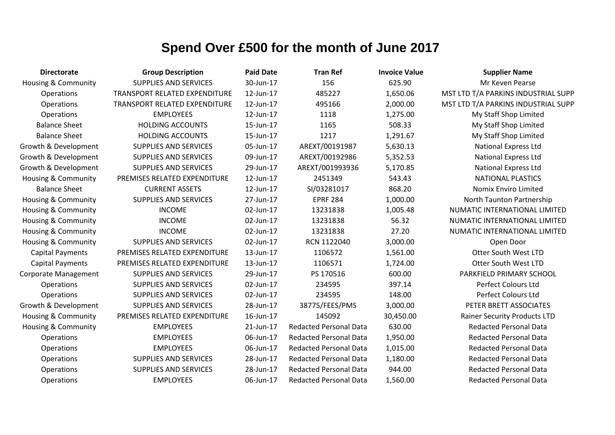| <b>Directorate</b>             | <b>Group Description</b>             | <b>Paid Date</b> | <b>Tran Ref</b>               | <b>Invoice Value</b> | <b>Supplier Name</b>                |
|--------------------------------|--------------------------------------|------------------|-------------------------------|----------------------|-------------------------------------|
| Housing & Community            | <b>SUPPLIES AND SERVICES</b>         | 30-Jun-17        | 156                           | 625.90               | Mr Keven Pearse                     |
| <b>Operations</b>              | <b>TRANSPORT RELATED EXPENDITURE</b> | 12-Jun-17        | 485227                        | 1,650.06             | MST LTD T/A PARKINS INDUSTRIAL SUPP |
| Operations                     | TRANSPORT RELATED EXPENDITURE        | 12-Jun-17        | 495166                        | 2,000.00             | MST LTD T/A PARKINS INDUSTRIAL SUPP |
| Operations                     | <b>EMPLOYEES</b>                     | 12-Jun-17        | 1118                          | 1,275.00             | My Staff Shop Limited               |
| <b>Balance Sheet</b>           | <b>HOLDING ACCOUNTS</b>              | 15-Jun-17        | 1165                          | 508.33               | My Staff Shop Limited               |
| <b>Balance Sheet</b>           | <b>HOLDING ACCOUNTS</b>              | 15-Jun-17        | 1217                          | 1,291.67             | My Staff Shop Limited               |
| Growth & Development           | <b>SUPPLIES AND SERVICES</b>         | 05-Jun-17        | AREXT/00191987                | 5,630.13             | <b>National Express Ltd</b>         |
| Growth & Development           | <b>SUPPLIES AND SERVICES</b>         | 09-Jun-17        | AREXT/00192986                | 5,352.53             | <b>National Express Ltd</b>         |
| Growth & Development           | <b>SUPPLIES AND SERVICES</b>         | 29-Jun-17        | AREXT/001993936               | 5,170.85             | <b>National Express Ltd</b>         |
| Housing & Community            | PREMISES RELATED EXPENDITURE         | 12-Jun-17        | 2451349                       | 543.43               | <b>NATIONAL PLASTICS</b>            |
| <b>Balance Sheet</b>           | <b>CURRENT ASSETS</b>                | 12-Jun-17        | SI/03281017                   | 868.20               | Nomix Enviro Limited                |
| Housing & Community            | <b>SUPPLIES AND SERVICES</b>         | 27-Jun-17        | <b>EPRF 284</b>               | 1,000.00             | North Taunton Partnership           |
| Housing & Community            | <b>INCOME</b>                        | 02-Jun-17        | 13231838                      | 1,005.48             | NUMATIC INTERNATIONAL LIMITED       |
| Housing & Community            | <b>INCOME</b>                        | 02-Jun-17        | 13231838                      | 56.32                | NUMATIC INTERNATIONAL LIMITED       |
| Housing & Community            | <b>INCOME</b>                        | 02-Jun-17        | 13231838                      | 27.20                | NUMATIC INTERNATIONAL LIMITED       |
| <b>Housing &amp; Community</b> | <b>SUPPLIES AND SERVICES</b>         | 02-Jun-17        | RCN 1122040                   | 3,000.00             | Open Door                           |
| <b>Capital Payments</b>        | PREMISES RELATED EXPENDITURE         | 13-Jun-17        | 1106572                       | 1,561.00             | Otter South West LTD                |
| <b>Capital Payments</b>        | PREMISES RELATED EXPENDITURE         | 13-Jun-17        | 1106571                       | 1,724.00             | Otter South West LTD                |
| <b>Corporate Management</b>    | SUPPLIES AND SERVICES                | 29-Jun-17        | PS 170516                     | 600.00               | PARKFIELD PRIMARY SCHOOL            |
| Operations                     | <b>SUPPLIES AND SERVICES</b>         | 02-Jun-17        | 234595                        | 397.14               | <b>Perfect Colours Ltd</b>          |
| Operations                     | <b>SUPPLIES AND SERVICES</b>         | 02-Jun-17        | 234595                        | 148.00               | Perfect Colours Ltd                 |
| Growth & Development           | <b>SUPPLIES AND SERVICES</b>         | 28-Jun-17        | 38775/FEES/PMS                | 3,000.00             | PETER BRETT ASSOCIATES              |
| Housing & Community            | PREMISES RELATED EXPENDITURE         | 16-Jun-17        | 145092                        | 30,450.00            | <b>Rainer Security Products LTD</b> |
| <b>Housing &amp; Community</b> | <b>EMPLOYEES</b>                     | 21-Jun-17        | <b>Redacted Personal Data</b> | 630.00               | <b>Redacted Personal Data</b>       |
| Operations                     | <b>EMPLOYEES</b>                     | 06-Jun-17        | <b>Redacted Personal Data</b> | 1,950.00             | <b>Redacted Personal Data</b>       |
| Operations                     | <b>EMPLOYEES</b>                     | 06-Jun-17        | <b>Redacted Personal Data</b> | 1,015.00             | <b>Redacted Personal Data</b>       |
| Operations                     | <b>SUPPLIES AND SERVICES</b>         | 28-Jun-17        | <b>Redacted Personal Data</b> | 1,180.00             | <b>Redacted Personal Data</b>       |
| Operations                     | <b>SUPPLIES AND SERVICES</b>         | 28-Jun-17        | <b>Redacted Personal Data</b> | 944.00               | <b>Redacted Personal Data</b>       |
| Operations                     | <b>EMPLOYEES</b>                     | 06-Jun-17        | <b>Redacted Personal Data</b> | 1,560.00             | <b>Redacted Personal Data</b>       |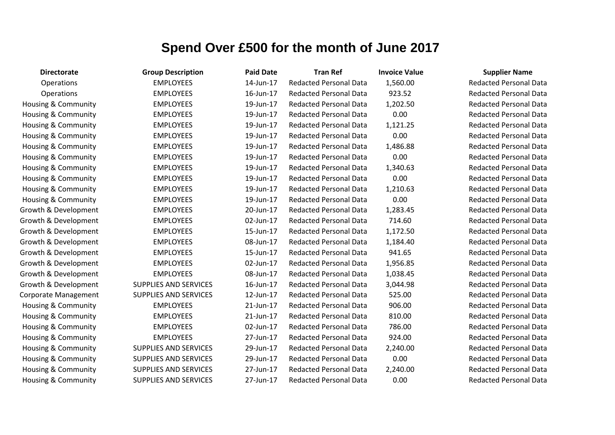| <b>Directorate</b>             | <b>Group Description</b>     | <b>Paid Date</b> | <b>Tran Ref</b>               | <b>Invoice Value</b> | <b>Supplier Name</b>          |
|--------------------------------|------------------------------|------------------|-------------------------------|----------------------|-------------------------------|
| Operations                     | <b>EMPLOYEES</b>             | 14-Jun-17        | <b>Redacted Personal Data</b> | 1,560.00             | <b>Redacted Personal Data</b> |
| Operations                     | <b>EMPLOYEES</b>             | 16-Jun-17        | <b>Redacted Personal Data</b> | 923.52               | <b>Redacted Personal Data</b> |
| <b>Housing &amp; Community</b> | <b>EMPLOYEES</b>             | 19-Jun-17        | <b>Redacted Personal Data</b> | 1,202.50             | <b>Redacted Personal Data</b> |
| Housing & Community            | <b>EMPLOYEES</b>             | 19-Jun-17        | <b>Redacted Personal Data</b> | 0.00                 | <b>Redacted Personal Data</b> |
| <b>Housing &amp; Community</b> | <b>EMPLOYEES</b>             | 19-Jun-17        | <b>Redacted Personal Data</b> | 1,121.25             | <b>Redacted Personal Data</b> |
| Housing & Community            | <b>EMPLOYEES</b>             | 19-Jun-17        | <b>Redacted Personal Data</b> | 0.00                 | <b>Redacted Personal Data</b> |
| Housing & Community            | <b>EMPLOYEES</b>             | 19-Jun-17        | <b>Redacted Personal Data</b> | 1,486.88             | <b>Redacted Personal Data</b> |
| Housing & Community            | <b>EMPLOYEES</b>             | 19-Jun-17        | <b>Redacted Personal Data</b> | 0.00                 | <b>Redacted Personal Data</b> |
| <b>Housing &amp; Community</b> | <b>EMPLOYEES</b>             | 19-Jun-17        | <b>Redacted Personal Data</b> | 1,340.63             | <b>Redacted Personal Data</b> |
| Housing & Community            | <b>EMPLOYEES</b>             | 19-Jun-17        | <b>Redacted Personal Data</b> | 0.00                 | <b>Redacted Personal Data</b> |
| Housing & Community            | <b>EMPLOYEES</b>             | 19-Jun-17        | <b>Redacted Personal Data</b> | 1,210.63             | <b>Redacted Personal Data</b> |
| <b>Housing &amp; Community</b> | <b>EMPLOYEES</b>             | 19-Jun-17        | <b>Redacted Personal Data</b> | 0.00                 | <b>Redacted Personal Data</b> |
| Growth & Development           | <b>EMPLOYEES</b>             | 20-Jun-17        | <b>Redacted Personal Data</b> | 1,283.45             | <b>Redacted Personal Data</b> |
| Growth & Development           | <b>EMPLOYEES</b>             | 02-Jun-17        | <b>Redacted Personal Data</b> | 714.60               | <b>Redacted Personal Data</b> |
| Growth & Development           | <b>EMPLOYEES</b>             | 15-Jun-17        | <b>Redacted Personal Data</b> | 1,172.50             | <b>Redacted Personal Data</b> |
| Growth & Development           | <b>EMPLOYEES</b>             | 08-Jun-17        | <b>Redacted Personal Data</b> | 1,184.40             | <b>Redacted Personal Data</b> |
| Growth & Development           | <b>EMPLOYEES</b>             | 15-Jun-17        | <b>Redacted Personal Data</b> | 941.65               | <b>Redacted Personal Data</b> |
| Growth & Development           | <b>EMPLOYEES</b>             | 02-Jun-17        | <b>Redacted Personal Data</b> | 1,956.85             | <b>Redacted Personal Data</b> |
| Growth & Development           | <b>EMPLOYEES</b>             | 08-Jun-17        | <b>Redacted Personal Data</b> | 1,038.45             | <b>Redacted Personal Data</b> |
| Growth & Development           | <b>SUPPLIES AND SERVICES</b> | 16-Jun-17        | <b>Redacted Personal Data</b> | 3,044.98             | <b>Redacted Personal Data</b> |
| <b>Corporate Management</b>    | <b>SUPPLIES AND SERVICES</b> | 12-Jun-17        | <b>Redacted Personal Data</b> | 525.00               | <b>Redacted Personal Data</b> |
| <b>Housing &amp; Community</b> | <b>EMPLOYEES</b>             | 21-Jun-17        | <b>Redacted Personal Data</b> | 906.00               | <b>Redacted Personal Data</b> |
| Housing & Community            | <b>EMPLOYEES</b>             | 21-Jun-17        | <b>Redacted Personal Data</b> | 810.00               | <b>Redacted Personal Data</b> |
| <b>Housing &amp; Community</b> | <b>EMPLOYEES</b>             | 02-Jun-17        | <b>Redacted Personal Data</b> | 786.00               | <b>Redacted Personal Data</b> |
| Housing & Community            | <b>EMPLOYEES</b>             | 27-Jun-17        | <b>Redacted Personal Data</b> | 924.00               | <b>Redacted Personal Data</b> |
| <b>Housing &amp; Community</b> | <b>SUPPLIES AND SERVICES</b> | 29-Jun-17        | <b>Redacted Personal Data</b> | 2,240.00             | <b>Redacted Personal Data</b> |
| Housing & Community            | <b>SUPPLIES AND SERVICES</b> | 29-Jun-17        | <b>Redacted Personal Data</b> | 0.00                 | <b>Redacted Personal Data</b> |
| Housing & Community            | <b>SUPPLIES AND SERVICES</b> | 27-Jun-17        | <b>Redacted Personal Data</b> | 2,240.00             | <b>Redacted Personal Data</b> |
| <b>Housing &amp; Community</b> | <b>SUPPLIES AND SERVICES</b> | 27-Jun-17        | <b>Redacted Personal Data</b> | 0.00                 | <b>Redacted Personal Data</b> |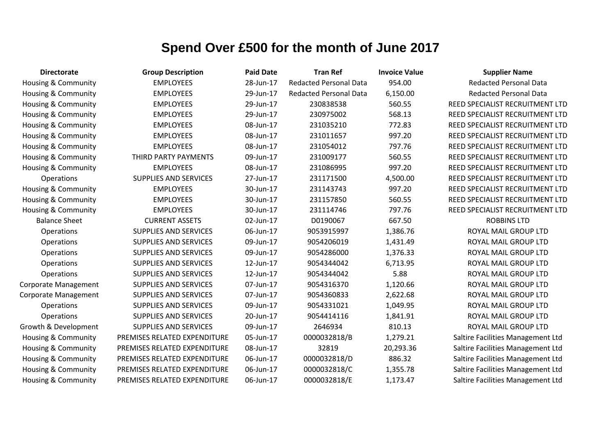| <b>Directorate</b>             | <b>Group Description</b>     | <b>Paid Date</b> | <b>Tran Ref</b>               | <b>Invoice Value</b> | <b>Supplier Name</b>              |
|--------------------------------|------------------------------|------------------|-------------------------------|----------------------|-----------------------------------|
| Housing & Community            | <b>EMPLOYEES</b>             | 28-Jun-17        | <b>Redacted Personal Data</b> | 954.00               | <b>Redacted Personal Data</b>     |
| Housing & Community            | <b>EMPLOYEES</b>             | 29-Jun-17        | <b>Redacted Personal Data</b> | 6,150.00             | <b>Redacted Personal Data</b>     |
| <b>Housing &amp; Community</b> | <b>EMPLOYEES</b>             | 29-Jun-17        | 230838538                     | 560.55               | REED SPECIALIST RECRUITMENT LTD   |
| <b>Housing &amp; Community</b> | <b>EMPLOYEES</b>             | 29-Jun-17        | 230975002                     | 568.13               | REED SPECIALIST RECRUITMENT LTD   |
| <b>Housing &amp; Community</b> | <b>EMPLOYEES</b>             | 08-Jun-17        | 231035210                     | 772.83               | REED SPECIALIST RECRUITMENT LTD   |
| <b>Housing &amp; Community</b> | <b>EMPLOYEES</b>             | 08-Jun-17        | 231011657                     | 997.20               | REED SPECIALIST RECRUITMENT LTD   |
| Housing & Community            | <b>EMPLOYEES</b>             | 08-Jun-17        | 231054012                     | 797.76               | REED SPECIALIST RECRUITMENT LTD   |
| <b>Housing &amp; Community</b> | THIRD PARTY PAYMENTS         | 09-Jun-17        | 231009177                     | 560.55               | REED SPECIALIST RECRUITMENT LTD   |
| <b>Housing &amp; Community</b> | <b>EMPLOYEES</b>             | 08-Jun-17        | 231086995                     | 997.20               | REED SPECIALIST RECRUITMENT LTD   |
| Operations                     | <b>SUPPLIES AND SERVICES</b> | 27-Jun-17        | 231171500                     | 4,500.00             | REED SPECIALIST RECRUITMENT LTD   |
| <b>Housing &amp; Community</b> | <b>EMPLOYEES</b>             | 30-Jun-17        | 231143743                     | 997.20               | REED SPECIALIST RECRUITMENT LTD   |
| Housing & Community            | <b>EMPLOYEES</b>             | 30-Jun-17        | 231157850                     | 560.55               | REED SPECIALIST RECRUITMENT LTD   |
| <b>Housing &amp; Community</b> | <b>EMPLOYEES</b>             | 30-Jun-17        | 231114746                     | 797.76               | REED SPECIALIST RECRUITMENT LTD   |
| <b>Balance Sheet</b>           | <b>CURRENT ASSETS</b>        | 02-Jun-17        | D0190067                      | 667.50               | <b>ROBBINS LTD</b>                |
| Operations                     | <b>SUPPLIES AND SERVICES</b> | 06-Jun-17        | 9053915997                    | 1,386.76             | ROYAL MAIL GROUP LTD              |
| Operations                     | <b>SUPPLIES AND SERVICES</b> | 09-Jun-17        | 9054206019                    | 1,431.49             | ROYAL MAIL GROUP LTD              |
| Operations                     | <b>SUPPLIES AND SERVICES</b> | 09-Jun-17        | 9054286000                    | 1,376.33             | ROYAL MAIL GROUP LTD              |
| Operations                     | <b>SUPPLIES AND SERVICES</b> | 12-Jun-17        | 9054344042                    | 6,713.95             | ROYAL MAIL GROUP LTD              |
| Operations                     | <b>SUPPLIES AND SERVICES</b> | 12-Jun-17        | 9054344042                    | 5.88                 | ROYAL MAIL GROUP LTD              |
| <b>Corporate Management</b>    | <b>SUPPLIES AND SERVICES</b> | 07-Jun-17        | 9054316370                    | 1,120.66             | ROYAL MAIL GROUP LTD              |
| <b>Corporate Management</b>    | <b>SUPPLIES AND SERVICES</b> | 07-Jun-17        | 9054360833                    | 2,622.68             | ROYAL MAIL GROUP LTD              |
| Operations                     | SUPPLIES AND SERVICES        | 09-Jun-17        | 9054331021                    | 1,049.95             | ROYAL MAIL GROUP LTD              |
| Operations                     | SUPPLIES AND SERVICES        | 20-Jun-17        | 9054414116                    | 1,841.91             | ROYAL MAIL GROUP LTD              |
| Growth & Development           | SUPPLIES AND SERVICES        | 09-Jun-17        | 2646934                       | 810.13               | ROYAL MAIL GROUP LTD              |
| Housing & Community            | PREMISES RELATED EXPENDITURE | 05-Jun-17        | 0000032818/B                  | 1,279.21             | Saltire Facilities Management Ltd |
| <b>Housing &amp; Community</b> | PREMISES RELATED EXPENDITURE | 08-Jun-17        | 32819                         | 20,293.36            | Saltire Facilities Management Ltd |
| Housing & Community            | PREMISES RELATED EXPENDITURE | 06-Jun-17        | 0000032818/D                  | 886.32               | Saltire Facilities Management Ltd |
| <b>Housing &amp; Community</b> | PREMISES RELATED EXPENDITURE | 06-Jun-17        | 0000032818/C                  | 1,355.78             | Saltire Facilities Management Ltd |
| Housing & Community            | PREMISES RELATED EXPENDITURE | 06-Jun-17        | 0000032818/E                  | 1,173.47             | Saltire Facilities Management Ltd |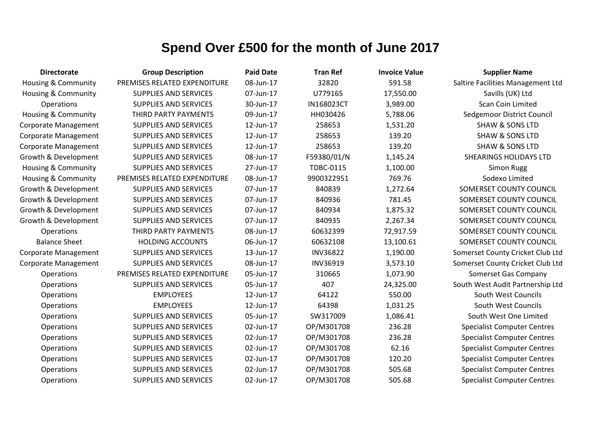| <b>Directorate</b>             | <b>Group Description</b>     | <b>Paid Date</b> | <b>Tran Ref</b>  | <b>Invoice Value</b> | <b>Supplier Name</b>               |
|--------------------------------|------------------------------|------------------|------------------|----------------------|------------------------------------|
| <b>Housing &amp; Community</b> | PREMISES RELATED EXPENDITURE | 08-Jun-17        | 32820            | 591.58               | Saltire Facilities Management Ltd  |
| Housing & Community            | <b>SUPPLIES AND SERVICES</b> | 07-Jun-17        | U779165          | 17,550.00            | Savills (UK) Ltd                   |
| <b>Operations</b>              | <b>SUPPLIES AND SERVICES</b> | 30-Jun-17        | IN168023CT       | 3,989.00             | <b>Scan Coin Limited</b>           |
| <b>Housing &amp; Community</b> | THIRD PARTY PAYMENTS         | 09-Jun-17        | HH030426         | 5,788.06             | Sedgemoor District Council         |
| <b>Corporate Management</b>    | <b>SUPPLIES AND SERVICES</b> | 12-Jun-17        | 258653           | 1,531.20             | <b>SHAW &amp; SONS LTD</b>         |
| <b>Corporate Management</b>    | <b>SUPPLIES AND SERVICES</b> | 12-Jun-17        | 258653           | 139.20               | <b>SHAW &amp; SONS LTD</b>         |
| <b>Corporate Management</b>    | <b>SUPPLIES AND SERVICES</b> | 12-Jun-17        | 258653           | 139.20               | <b>SHAW &amp; SONS LTD</b>         |
| Growth & Development           | <b>SUPPLIES AND SERVICES</b> | 08-Jun-17        | F59380/01/N      | 1,145.24             | <b>SHEARINGS HOLIDAYS LTD</b>      |
| Housing & Community            | <b>SUPPLIES AND SERVICES</b> | 27-Jun-17        | <b>TDBC-0115</b> | 1,100.00             | Simon Rugg                         |
| <b>Housing &amp; Community</b> | PREMISES RELATED EXPENDITURE | 08-Jun-17        | 9900322951       | 769.76               | Sodexo Limited                     |
| Growth & Development           | <b>SUPPLIES AND SERVICES</b> | 07-Jun-17        | 840839           | 1,272.64             | SOMERSET COUNTY COUNCIL            |
| Growth & Development           | <b>SUPPLIES AND SERVICES</b> | 07-Jun-17        | 840936           | 781.45               | SOMERSET COUNTY COUNCIL            |
| Growth & Development           | <b>SUPPLIES AND SERVICES</b> | 07-Jun-17        | 840934           | 1,875.32             | SOMERSET COUNTY COUNCIL            |
| Growth & Development           | <b>SUPPLIES AND SERVICES</b> | 07-Jun-17        | 840935           | 2,267.34             | SOMERSET COUNTY COUNCIL            |
| <b>Operations</b>              | THIRD PARTY PAYMENTS         | 08-Jun-17        | 60632399         | 72,917.59            | SOMERSET COUNTY COUNCIL            |
| <b>Balance Sheet</b>           | <b>HOLDING ACCOUNTS</b>      | 06-Jun-17        | 60632108         | 13,100.61            | SOMERSET COUNTY COUNCIL            |
| <b>Corporate Management</b>    | <b>SUPPLIES AND SERVICES</b> | 13-Jun-17        | <b>INV36822</b>  | 1,190.00             | Somerset County Cricket Club Ltd   |
| <b>Corporate Management</b>    | <b>SUPPLIES AND SERVICES</b> | 08-Jun-17        | <b>INV36919</b>  | 3,573.10             | Somerset County Cricket Club Ltd   |
| Operations                     | PREMISES RELATED EXPENDITURE | 05-Jun-17        | 310665           | 1,073.90             | Somerset Gas Company               |
| Operations                     | <b>SUPPLIES AND SERVICES</b> | 05-Jun-17        | 407              | 24,325.00            | South West Audit Partnership Ltd   |
| Operations                     | <b>EMPLOYEES</b>             | 12-Jun-17        | 64122            | 550.00               | South West Councils                |
| Operations                     | <b>EMPLOYEES</b>             | 12-Jun-17        | 64398            | 1,031.25             | South West Councils                |
| Operations                     | <b>SUPPLIES AND SERVICES</b> | 05-Jun-17        | SW317009         | 1,086.41             | South West One Limited             |
| Operations                     | <b>SUPPLIES AND SERVICES</b> | 02-Jun-17        | OP/M301708       | 236.28               | <b>Specialist Computer Centres</b> |
| Operations                     | <b>SUPPLIES AND SERVICES</b> | 02-Jun-17        | OP/M301708       | 236.28               | <b>Specialist Computer Centres</b> |
| Operations                     | <b>SUPPLIES AND SERVICES</b> | 02-Jun-17        | OP/M301708       | 62.16                | <b>Specialist Computer Centres</b> |
| Operations                     | <b>SUPPLIES AND SERVICES</b> | 02-Jun-17        | OP/M301708       | 120.20               | <b>Specialist Computer Centres</b> |
| Operations                     | <b>SUPPLIES AND SERVICES</b> | 02-Jun-17        | OP/M301708       | 505.68               | <b>Specialist Computer Centres</b> |
| Operations                     | <b>SUPPLIES AND SERVICES</b> | 02-Jun-17        | OP/M301708       | 505.68               | <b>Specialist Computer Centres</b> |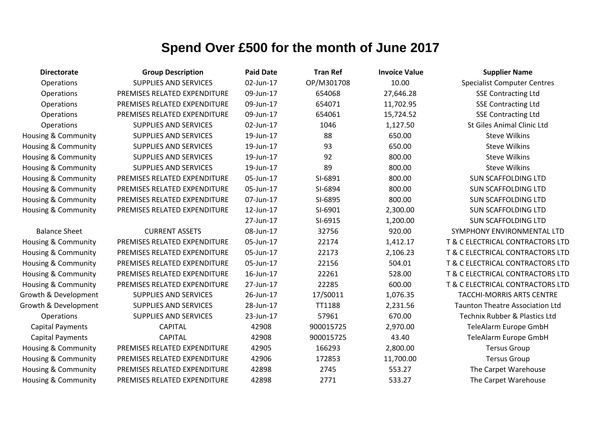| <b>Directorate</b>             | <b>Group Description</b>     | <b>Paid Date</b> | <b>Tran Ref</b> | <b>Invoice Value</b> | <b>Supplier Name</b>                     |
|--------------------------------|------------------------------|------------------|-----------------|----------------------|------------------------------------------|
| Operations                     | <b>SUPPLIES AND SERVICES</b> | 02-Jun-17        | OP/M301708      | 10.00                | <b>Specialist Computer Centres</b>       |
| Operations                     | PREMISES RELATED EXPENDITURE | 09-Jun-17        | 654068          | 27,646.28            | <b>SSE Contracting Ltd</b>               |
| Operations                     | PREMISES RELATED EXPENDITURE | 09-Jun-17        | 654071          | 11,702.95            | <b>SSE Contracting Ltd</b>               |
| Operations                     | PREMISES RELATED EXPENDITURE | 09-Jun-17        | 654061          | 15,724.52            | <b>SSE Contracting Ltd</b>               |
| Operations                     | <b>SUPPLIES AND SERVICES</b> | 02-Jun-17        | 1046            | 1,127.50             | <b>St Giles Animal Clinic Ltd</b>        |
| Housing & Community            | <b>SUPPLIES AND SERVICES</b> | 19-Jun-17        | 88              | 650.00               | <b>Steve Wilkins</b>                     |
| Housing & Community            | <b>SUPPLIES AND SERVICES</b> | 19-Jun-17        | 93              | 650.00               | <b>Steve Wilkins</b>                     |
| Housing & Community            | <b>SUPPLIES AND SERVICES</b> | 19-Jun-17        | 92              | 800.00               | <b>Steve Wilkins</b>                     |
| Housing & Community            | <b>SUPPLIES AND SERVICES</b> | 19-Jun-17        | 89              | 800.00               | <b>Steve Wilkins</b>                     |
| Housing & Community            | PREMISES RELATED EXPENDITURE | 05-Jun-17        | SI-6891         | 800.00               | <b>SUN SCAFFOLDING LTD</b>               |
| Housing & Community            | PREMISES RELATED EXPENDITURE | 05-Jun-17        | SI-6894         | 800.00               | <b>SUN SCAFFOLDING LTD</b>               |
| Housing & Community            | PREMISES RELATED EXPENDITURE | 07-Jun-17        | SI-6895         | 800.00               | <b>SUN SCAFFOLDING LTD</b>               |
| <b>Housing &amp; Community</b> | PREMISES RELATED EXPENDITURE | 12-Jun-17        | SI-6901         | 2,300.00             | <b>SUN SCAFFOLDING LTD</b>               |
|                                |                              | 27-Jun-17        | SI-6915         | 1,200.00             | <b>SUN SCAFFOLDING LTD</b>               |
| <b>Balance Sheet</b>           | <b>CURRENT ASSETS</b>        | 08-Jun-17        | 32756           | 920.00               | SYMPHONY ENVIRONMENTAL LTD               |
| Housing & Community            | PREMISES RELATED EXPENDITURE | 05-Jun-17        | 22174           | 1,412.17             | T & C ELECTRICAL CONTRACTORS LTD         |
| Housing & Community            | PREMISES RELATED EXPENDITURE | 05-Jun-17        | 22173           | 2,106.23             | T & C ELECTRICAL CONTRACTORS LTD         |
| Housing & Community            | PREMISES RELATED EXPENDITURE | 05-Jun-17        | 22156           | 504.01               | T & C ELECTRICAL CONTRACTORS LTD         |
| Housing & Community            | PREMISES RELATED EXPENDITURE | 16-Jun-17        | 22261           | 528.00               | T & C ELECTRICAL CONTRACTORS LTD         |
| Housing & Community            | PREMISES RELATED EXPENDITURE | 27-Jun-17        | 22285           | 600.00               | T & C ELECTRICAL CONTRACTORS LTD         |
| Growth & Development           | <b>SUPPLIES AND SERVICES</b> | 26-Jun-17        | 17/S0011        | 1,076.35             | <b>TACCHI-MORRIS ARTS CENTRE</b>         |
| Growth & Development           | <b>SUPPLIES AND SERVICES</b> | 28-Jun-17        | TT1188          | 2,231.56             | <b>Taunton Theatre Association Ltd</b>   |
| Operations                     | <b>SUPPLIES AND SERVICES</b> | 23-Jun-17        | 57961           | 670.00               | <b>Technix Rubber &amp; Plastics Ltd</b> |
| <b>Capital Payments</b>        | <b>CAPITAL</b>               | 42908            | 900015725       | 2,970.00             | TeleAlarm Europe GmbH                    |
| <b>Capital Payments</b>        | <b>CAPITAL</b>               | 42908            | 900015725       | 43.40                | TeleAlarm Europe GmbH                    |
| Housing & Community            | PREMISES RELATED EXPENDITURE | 42905            | 166293          | 2,800.00             | <b>Tersus Group</b>                      |
| Housing & Community            | PREMISES RELATED EXPENDITURE | 42906            | 172853          | 11,700.00            | <b>Tersus Group</b>                      |
| <b>Housing &amp; Community</b> | PREMISES RELATED EXPENDITURE | 42898            | 2745            | 553.27               | The Carpet Warehouse                     |
| <b>Housing &amp; Community</b> | PREMISES RELATED EXPENDITURE | 42898            | 2771            | 533.27               | The Carpet Warehouse                     |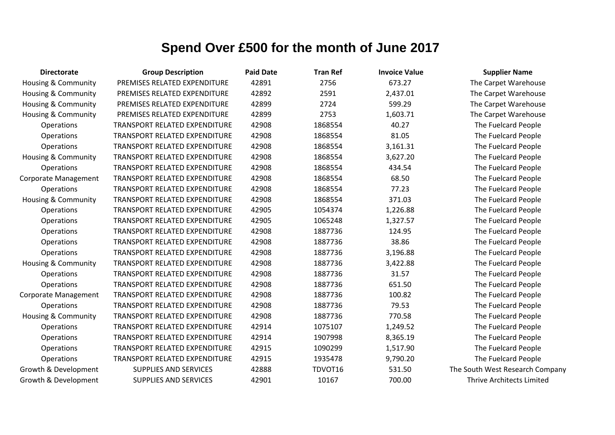| <b>Directorate</b>             | <b>Group Description</b>             | <b>Paid Date</b> | <b>Tran Ref</b> | <b>Invoice Value</b> | <b>Supplier Name</b>             |
|--------------------------------|--------------------------------------|------------------|-----------------|----------------------|----------------------------------|
| Housing & Community            | PREMISES RELATED EXPENDITURE         | 42891            | 2756            | 673.27               | The Carpet Warehouse             |
| <b>Housing &amp; Community</b> | PREMISES RELATED EXPENDITURE         | 42892            | 2591            | 2,437.01             | The Carpet Warehouse             |
| Housing & Community            | PREMISES RELATED EXPENDITURE         | 42899            | 2724            | 599.29               | The Carpet Warehouse             |
| <b>Housing &amp; Community</b> | PREMISES RELATED EXPENDITURE         | 42899            | 2753            | 1,603.71             | The Carpet Warehouse             |
| Operations                     | TRANSPORT RELATED EXPENDITURE        | 42908            | 1868554         | 40.27                | The Fuelcard People              |
| Operations                     | TRANSPORT RELATED EXPENDITURE        | 42908            | 1868554         | 81.05                | The Fuelcard People              |
| Operations                     | TRANSPORT RELATED EXPENDITURE        | 42908            | 1868554         | 3,161.31             | The Fuelcard People              |
| Housing & Community            | TRANSPORT RELATED EXPENDITURE        | 42908            | 1868554         | 3,627.20             | The Fuelcard People              |
| Operations                     | TRANSPORT RELATED EXPENDITURE        | 42908            | 1868554         | 434.54               | The Fuelcard People              |
| <b>Corporate Management</b>    | <b>TRANSPORT RELATED EXPENDITURE</b> | 42908            | 1868554         | 68.50                | The Fuelcard People              |
| Operations                     | <b>TRANSPORT RELATED EXPENDITURE</b> | 42908            | 1868554         | 77.23                | The Fuelcard People              |
| <b>Housing &amp; Community</b> | <b>TRANSPORT RELATED EXPENDITURE</b> | 42908            | 1868554         | 371.03               | The Fuelcard People              |
| Operations                     | TRANSPORT RELATED EXPENDITURE        | 42905            | 1054374         | 1,226.88             | The Fuelcard People              |
| Operations                     | <b>TRANSPORT RELATED EXPENDITURE</b> | 42905            | 1065248         | 1,327.57             | The Fuelcard People              |
| Operations                     | <b>TRANSPORT RELATED EXPENDITURE</b> | 42908            | 1887736         | 124.95               | The Fuelcard People              |
| Operations                     | TRANSPORT RELATED EXPENDITURE        | 42908            | 1887736         | 38.86                | The Fuelcard People              |
| Operations                     | TRANSPORT RELATED EXPENDITURE        | 42908            | 1887736         | 3,196.88             | The Fuelcard People              |
| Housing & Community            | TRANSPORT RELATED EXPENDITURE        | 42908            | 1887736         | 3,422.88             | The Fuelcard People              |
| Operations                     | TRANSPORT RELATED EXPENDITURE        | 42908            | 1887736         | 31.57                | The Fuelcard People              |
| Operations                     | TRANSPORT RELATED EXPENDITURE        | 42908            | 1887736         | 651.50               | The Fuelcard People              |
| Corporate Management           | <b>TRANSPORT RELATED EXPENDITURE</b> | 42908            | 1887736         | 100.82               | The Fuelcard People              |
| Operations                     | <b>TRANSPORT RELATED EXPENDITURE</b> | 42908            | 1887736         | 79.53                | The Fuelcard People              |
| <b>Housing &amp; Community</b> | <b>TRANSPORT RELATED EXPENDITURE</b> | 42908            | 1887736         | 770.58               | The Fuelcard People              |
| Operations                     | <b>TRANSPORT RELATED EXPENDITURE</b> | 42914            | 1075107         | 1,249.52             | The Fuelcard People              |
| Operations                     | TRANSPORT RELATED EXPENDITURE        | 42914            | 1907998         | 8,365.19             | The Fuelcard People              |
| Operations                     | TRANSPORT RELATED EXPENDITURE        | 42915            | 1090299         | 1,517.90             | The Fuelcard People              |
| Operations                     | TRANSPORT RELATED EXPENDITURE        | 42915            | 1935478         | 9,790.20             | The Fuelcard People              |
| Growth & Development           | <b>SUPPLIES AND SERVICES</b>         | 42888            | TDVOT16         | 531.50               | The South West Research Company  |
| Growth & Development           | <b>SUPPLIES AND SERVICES</b>         | 42901            | 10167           | 700.00               | <b>Thrive Architects Limited</b> |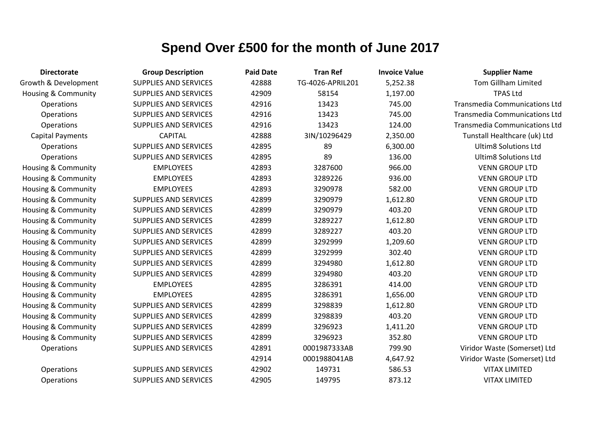| <b>Directorate</b>             | <b>Group Description</b>     | <b>Paid Date</b> | <b>Tran Ref</b>  | <b>Invoice Value</b> | <b>Supplier Name</b>                 |
|--------------------------------|------------------------------|------------------|------------------|----------------------|--------------------------------------|
| Growth & Development           | <b>SUPPLIES AND SERVICES</b> | 42888            | TG-4026-APRIL201 | 5,252.38             | <b>Tom Gillham Limited</b>           |
| <b>Housing &amp; Community</b> | <b>SUPPLIES AND SERVICES</b> | 42909            | 58154            | 1,197.00             | <b>TPAS Ltd</b>                      |
| Operations                     | <b>SUPPLIES AND SERVICES</b> | 42916            | 13423            | 745.00               | <b>Transmedia Communications Ltd</b> |
| Operations                     | <b>SUPPLIES AND SERVICES</b> | 42916            | 13423            | 745.00               | <b>Transmedia Communications Ltd</b> |
| Operations                     | <b>SUPPLIES AND SERVICES</b> | 42916            | 13423            | 124.00               | <b>Transmedia Communications Ltd</b> |
| <b>Capital Payments</b>        | <b>CAPITAL</b>               | 42888            | 3IN/10296429     | 2,350.00             | Tunstall Healthcare (uk) Ltd         |
| Operations                     | <b>SUPPLIES AND SERVICES</b> | 42895            | 89               | 6,300.00             | <b>Ultim8 Solutions Ltd</b>          |
| Operations                     | <b>SUPPLIES AND SERVICES</b> | 42895            | 89               | 136.00               | <b>Ultim8 Solutions Ltd</b>          |
| Housing & Community            | <b>EMPLOYEES</b>             | 42893            | 3287600          | 966.00               | <b>VENN GROUP LTD</b>                |
| <b>Housing &amp; Community</b> | <b>EMPLOYEES</b>             | 42893            | 3289226          | 936.00               | <b>VENN GROUP LTD</b>                |
| Housing & Community            | <b>EMPLOYEES</b>             | 42893            | 3290978          | 582.00               | <b>VENN GROUP LTD</b>                |
| Housing & Community            | <b>SUPPLIES AND SERVICES</b> | 42899            | 3290979          | 1,612.80             | <b>VENN GROUP LTD</b>                |
| <b>Housing &amp; Community</b> | <b>SUPPLIES AND SERVICES</b> | 42899            | 3290979          | 403.20               | <b>VENN GROUP LTD</b>                |
| Housing & Community            | <b>SUPPLIES AND SERVICES</b> | 42899            | 3289227          | 1,612.80             | <b>VENN GROUP LTD</b>                |
| Housing & Community            | SUPPLIES AND SERVICES        | 42899            | 3289227          | 403.20               | <b>VENN GROUP LTD</b>                |
| Housing & Community            | <b>SUPPLIES AND SERVICES</b> | 42899            | 3292999          | 1,209.60             | <b>VENN GROUP LTD</b>                |
| Housing & Community            | <b>SUPPLIES AND SERVICES</b> | 42899            | 3292999          | 302.40               | <b>VENN GROUP LTD</b>                |
| Housing & Community            | <b>SUPPLIES AND SERVICES</b> | 42899            | 3294980          | 1,612.80             | <b>VENN GROUP LTD</b>                |
| Housing & Community            | <b>SUPPLIES AND SERVICES</b> | 42899            | 3294980          | 403.20               | <b>VENN GROUP LTD</b>                |
| Housing & Community            | <b>EMPLOYEES</b>             | 42895            | 3286391          | 414.00               | <b>VENN GROUP LTD</b>                |
| <b>Housing &amp; Community</b> | <b>EMPLOYEES</b>             | 42895            | 3286391          | 1,656.00             | <b>VENN GROUP LTD</b>                |
| Housing & Community            | <b>SUPPLIES AND SERVICES</b> | 42899            | 3298839          | 1,612.80             | <b>VENN GROUP LTD</b>                |
| Housing & Community            | <b>SUPPLIES AND SERVICES</b> | 42899            | 3298839          | 403.20               | <b>VENN GROUP LTD</b>                |
| Housing & Community            | <b>SUPPLIES AND SERVICES</b> | 42899            | 3296923          | 1,411.20             | <b>VENN GROUP LTD</b>                |
| <b>Housing &amp; Community</b> | <b>SUPPLIES AND SERVICES</b> | 42899            | 3296923          | 352.80               | <b>VENN GROUP LTD</b>                |
| Operations                     | <b>SUPPLIES AND SERVICES</b> | 42891            | 0001987333AB     | 799.90               | Viridor Waste (Somerset) Ltd         |
|                                |                              | 42914            | 0001988041AB     | 4,647.92             | Viridor Waste (Somerset) Ltd         |
| Operations                     | <b>SUPPLIES AND SERVICES</b> | 42902            | 149731           | 586.53               | <b>VITAX LIMITED</b>                 |
| Operations                     | <b>SUPPLIES AND SERVICES</b> | 42905            | 149795           | 873.12               | <b>VITAX LIMITED</b>                 |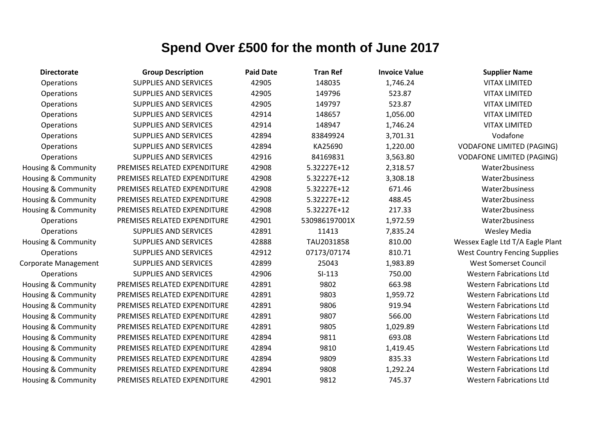| <b>Directorate</b>             | <b>Group Description</b>     | <b>Paid Date</b> | <b>Tran Ref</b> | <b>Invoice Value</b> | <b>Supplier Name</b>                 |
|--------------------------------|------------------------------|------------------|-----------------|----------------------|--------------------------------------|
| Operations                     | <b>SUPPLIES AND SERVICES</b> | 42905            | 148035          | 1,746.24             | <b>VITAX LIMITED</b>                 |
| Operations                     | <b>SUPPLIES AND SERVICES</b> | 42905            | 149796          | 523.87               | <b>VITAX LIMITED</b>                 |
| Operations                     | SUPPLIES AND SERVICES        | 42905            | 149797          | 523.87               | <b>VITAX LIMITED</b>                 |
| Operations                     | SUPPLIES AND SERVICES        | 42914            | 148657          | 1,056.00             | <b>VITAX LIMITED</b>                 |
| Operations                     | <b>SUPPLIES AND SERVICES</b> | 42914            | 148947          | 1,746.24             | <b>VITAX LIMITED</b>                 |
| Operations                     | SUPPLIES AND SERVICES        | 42894            | 83849924        | 3,701.31             | Vodafone                             |
| Operations                     | SUPPLIES AND SERVICES        | 42894            | KA25690         | 1,220.00             | <b>VODAFONE LIMITED (PAGING)</b>     |
| Operations                     | SUPPLIES AND SERVICES        | 42916            | 84169831        | 3,563.80             | <b>VODAFONE LIMITED (PAGING)</b>     |
| Housing & Community            | PREMISES RELATED EXPENDITURE | 42908            | 5.32227E+12     | 2,318.57             | Water2business                       |
| Housing & Community            | PREMISES RELATED EXPENDITURE | 42908            | 5.32227E+12     | 3,308.18             | Water2business                       |
| Housing & Community            | PREMISES RELATED EXPENDITURE | 42908            | 5.32227E+12     | 671.46               | Water2business                       |
| Housing & Community            | PREMISES RELATED EXPENDITURE | 42908            | 5.32227E+12     | 488.45               | Water2business                       |
| <b>Housing &amp; Community</b> | PREMISES RELATED EXPENDITURE | 42908            | 5.32227E+12     | 217.33               | Water2business                       |
| Operations                     | PREMISES RELATED EXPENDITURE | 42901            | 530986197001X   | 1,972.59             | Water2business                       |
| Operations                     | SUPPLIES AND SERVICES        | 42891            | 11413           | 7,835.24             | Wesley Media                         |
| Housing & Community            | SUPPLIES AND SERVICES        | 42888            | TAU2031858      | 810.00               | Wessex Eagle Ltd T/A Eagle Plant     |
| Operations                     | SUPPLIES AND SERVICES        | 42912            | 07173/07174     | 810.71               | <b>West Country Fencing Supplies</b> |
| Corporate Management           | SUPPLIES AND SERVICES        | 42899            | 25043           | 1,983.89             | <b>West Somerset Council</b>         |
| Operations                     | <b>SUPPLIES AND SERVICES</b> | 42906            | $SI-113$        | 750.00               | <b>Western Fabrications Ltd</b>      |
| Housing & Community            | PREMISES RELATED EXPENDITURE | 42891            | 9802            | 663.98               | <b>Western Fabrications Ltd</b>      |
| Housing & Community            | PREMISES RELATED EXPENDITURE | 42891            | 9803            | 1,959.72             | <b>Western Fabrications Ltd</b>      |
| Housing & Community            | PREMISES RELATED EXPENDITURE | 42891            | 9806            | 919.94               | <b>Western Fabrications Ltd</b>      |
| Housing & Community            | PREMISES RELATED EXPENDITURE | 42891            | 9807            | 566.00               | <b>Western Fabrications Ltd</b>      |
| Housing & Community            | PREMISES RELATED EXPENDITURE | 42891            | 9805            | 1,029.89             | <b>Western Fabrications Ltd</b>      |
| <b>Housing &amp; Community</b> | PREMISES RELATED EXPENDITURE | 42894            | 9811            | 693.08               | <b>Western Fabrications Ltd</b>      |
| <b>Housing &amp; Community</b> | PREMISES RELATED EXPENDITURE | 42894            | 9810            | 1,419.45             | <b>Western Fabrications Ltd</b>      |
| Housing & Community            | PREMISES RELATED EXPENDITURE | 42894            | 9809            | 835.33               | <b>Western Fabrications Ltd</b>      |
| Housing & Community            | PREMISES RELATED EXPENDITURE | 42894            | 9808            | 1,292.24             | <b>Western Fabrications Ltd</b>      |
| Housing & Community            | PREMISES RELATED EXPENDITURE | 42901            | 9812            | 745.37               | <b>Western Fabrications Ltd</b>      |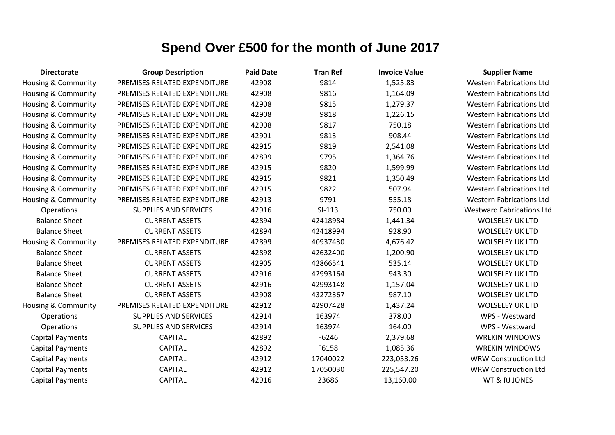| <b>Directorate</b>             | <b>Group Description</b>     | <b>Paid Date</b> | <b>Tran Ref</b> | <b>Invoice Value</b> | <b>Supplier Name</b>             |
|--------------------------------|------------------------------|------------------|-----------------|----------------------|----------------------------------|
| Housing & Community            | PREMISES RELATED EXPENDITURE | 42908            | 9814            | 1,525.83             | <b>Western Fabrications Ltd</b>  |
| <b>Housing &amp; Community</b> | PREMISES RELATED EXPENDITURE | 42908            | 9816            | 1,164.09             | <b>Western Fabrications Ltd</b>  |
| <b>Housing &amp; Community</b> | PREMISES RELATED EXPENDITURE | 42908            | 9815            | 1,279.37             | <b>Western Fabrications Ltd</b>  |
| <b>Housing &amp; Community</b> | PREMISES RELATED EXPENDITURE | 42908            | 9818            | 1,226.15             | <b>Western Fabrications Ltd</b>  |
| Housing & Community            | PREMISES RELATED EXPENDITURE | 42908            | 9817            | 750.18               | <b>Western Fabrications Ltd</b>  |
| Housing & Community            | PREMISES RELATED EXPENDITURE | 42901            | 9813            | 908.44               | <b>Western Fabrications Ltd</b>  |
| <b>Housing &amp; Community</b> | PREMISES RELATED EXPENDITURE | 42915            | 9819            | 2,541.08             | <b>Western Fabrications Ltd</b>  |
| Housing & Community            | PREMISES RELATED EXPENDITURE | 42899            | 9795            | 1,364.76             | <b>Western Fabrications Ltd</b>  |
| <b>Housing &amp; Community</b> | PREMISES RELATED EXPENDITURE | 42915            | 9820            | 1,599.99             | <b>Western Fabrications Ltd</b>  |
| Housing & Community            | PREMISES RELATED EXPENDITURE | 42915            | 9821            | 1,350.49             | <b>Western Fabrications Ltd</b>  |
| <b>Housing &amp; Community</b> | PREMISES RELATED EXPENDITURE | 42915            | 9822            | 507.94               | <b>Western Fabrications Ltd</b>  |
| Housing & Community            | PREMISES RELATED EXPENDITURE | 42913            | 9791            | 555.18               | <b>Western Fabrications Ltd</b>  |
| Operations                     | <b>SUPPLIES AND SERVICES</b> | 42916            | $SI-113$        | 750.00               | <b>Westward Fabrications Ltd</b> |
| <b>Balance Sheet</b>           | <b>CURRENT ASSETS</b>        | 42894            | 42418984        | 1,441.34             | <b>WOLSELEY UK LTD</b>           |
| <b>Balance Sheet</b>           | <b>CURRENT ASSETS</b>        | 42894            | 42418994        | 928.90               | <b>WOLSELEY UK LTD</b>           |
| Housing & Community            | PREMISES RELATED EXPENDITURE | 42899            | 40937430        | 4,676.42             | <b>WOLSELEY UK LTD</b>           |
| <b>Balance Sheet</b>           | <b>CURRENT ASSETS</b>        | 42898            | 42632400        | 1,200.90             | <b>WOLSELEY UK LTD</b>           |
| <b>Balance Sheet</b>           | <b>CURRENT ASSETS</b>        | 42905            | 42866541        | 535.14               | <b>WOLSELEY UK LTD</b>           |
| <b>Balance Sheet</b>           | <b>CURRENT ASSETS</b>        | 42916            | 42993164        | 943.30               | <b>WOLSELEY UK LTD</b>           |
| <b>Balance Sheet</b>           | <b>CURRENT ASSETS</b>        | 42916            | 42993148        | 1,157.04             | <b>WOLSELEY UK LTD</b>           |
| <b>Balance Sheet</b>           | <b>CURRENT ASSETS</b>        | 42908            | 43272367        | 987.10               | <b>WOLSELEY UK LTD</b>           |
| <b>Housing &amp; Community</b> | PREMISES RELATED EXPENDITURE | 42912            | 42907428        | 1,437.24             | <b>WOLSELEY UK LTD</b>           |
| Operations                     | <b>SUPPLIES AND SERVICES</b> | 42914            | 163974          | 378.00               | WPS - Westward                   |
| Operations                     | <b>SUPPLIES AND SERVICES</b> | 42914            | 163974          | 164.00               | WPS - Westward                   |
| <b>Capital Payments</b>        | <b>CAPITAL</b>               | 42892            | F6246           | 2,379.68             | <b>WREKIN WINDOWS</b>            |
| <b>Capital Payments</b>        | <b>CAPITAL</b>               | 42892            | F6158           | 1,085.36             | <b>WREKIN WINDOWS</b>            |
| <b>Capital Payments</b>        | <b>CAPITAL</b>               | 42912            | 17040022        | 223,053.26           | <b>WRW Construction Ltd</b>      |
| <b>Capital Payments</b>        | <b>CAPITAL</b>               | 42912            | 17050030        | 225,547.20           | <b>WRW Construction Ltd</b>      |
| <b>Capital Payments</b>        | <b>CAPITAL</b>               | 42916            | 23686           | 13,160.00            | WT & RJ JONES                    |